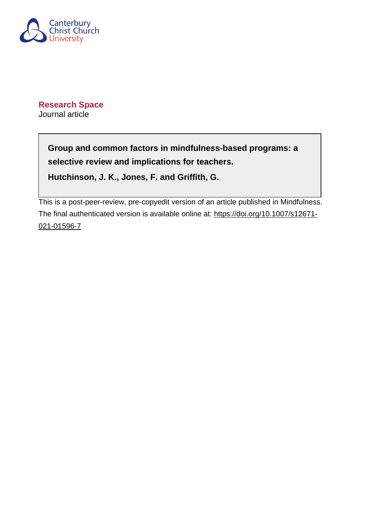

**Research Space** Journal article

> **Group and common factors in mindfulness-based programs: a selective review and implications for teachers.**

**Hutchinson, J. K., Jones, F. and Griffith, G.**

This is a post-peer-review, pre-copyedit version of an article published in Mindfulness. The final authenticated version is available online at: [https://doi.org/10.1007/s12671-](https://doi.org/10.1007/s12671-021-01596-7) [021-01596-7](https://doi.org/10.1007/s12671-021-01596-7)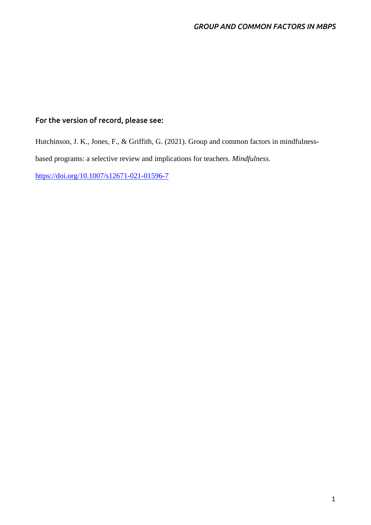# **For the version of record, please see:**

Hutchinson, J. K., Jones, F., & Griffith, G. (2021). Group and common factors in mindfulnessbased programs: a selective review and implications for teachers. *Mindfulness*. <https://doi.org/10.1007/s12671-021-01596-7>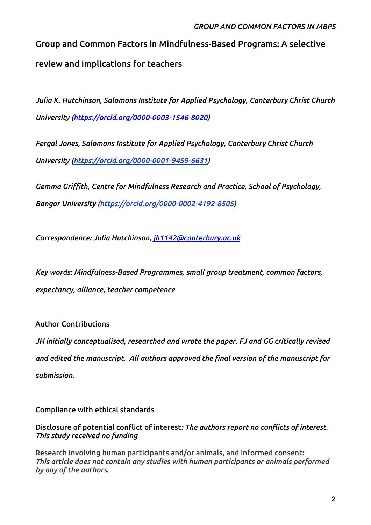# **Group and Common Factors in Mindfulness-Based Programs: A selective review and implications for teachers**

*Julia K. Hutchinson, Salomons Institute for Applied Psychology, Canterbury Christ Church University [\(https://orcid.org/0000-0003-1546-8020](https://orcid.org/0000-0003-1546-8020))*

*Fergal Jones, Salomons Institute for Applied Psychology, Canterbury Christ Church University [\(https://orcid.org/0000-0001-9459-6631](https://orcid.org/0000-0001-9459-6631))*

*Gemma Griffith, Centre for Mindfulness Research and Practice, School of Psychology, Bangor University (https://orcid.org/0000-0002-4192-8505)*

*Correspondence: Julia Hutchinson, [jh1142@canterbury.ac.uk](mailto:jh1142@canterbury.ac.uk)*

*Key words: Mindfulness-Based Programmes, small group treatment, common factors, expectancy, alliance, teacher competence*

**Author Contributions**

*JH initially conceptualised, researched and wrote the paper. FJ and GG critically revised and edited the manuscript. All authors approved the final version of the manuscript for submission.*

**Compliance with ethical standards**

**Disclosure of potential conflict of interest***: The authors report no conflicts of interest. This study received no funding*

**Research involving human participants and/or animals, and informed consent:**  *This article does not contain any studies with human participants or animals performed by any of the authors.*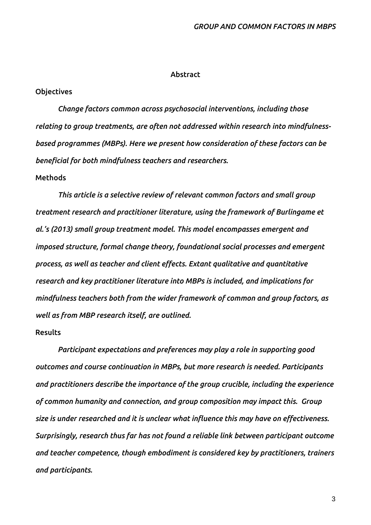#### **Abstract**

## **Objectives**

*Change factors common across psychosocial interventions, including those relating to group treatments, are often not addressed within research into mindfulnessbased programmes (MBPs). Here we present how consideration of these factors can be beneficial for both mindfulness teachers and researchers.* 

## **Methods**

*This article is a selective review of relevant common factors and small group treatment research and practitioner literature, using the framework of Burlingame et al.'s (2013) small group treatment model. This model encompasses emergent and imposed structure, formal change theory, foundational social processes and emergent process, as well as teacher and client effects. Extant qualitative and quantitative research and key practitioner literature into MBPs is included, and implications for mindfulness teachers both from the wider framework of common and group factors, as well as from MBP research itself, are outlined.* 

## **Results**

*Participant expectations and preferences may play a role in supporting good outcomes and course continuation in MBPs, but more research is needed. Participants and practitioners describe the importance of the group crucible, including the experience of common humanity and connection, and group composition may impact this. Group size is under researched and it is unclear what influence this may have on effectiveness. Surprisingly, research thus far has not found a reliable link between participant outcome and teacher competence, though embodiment is considered key by practitioners, trainers and participants.*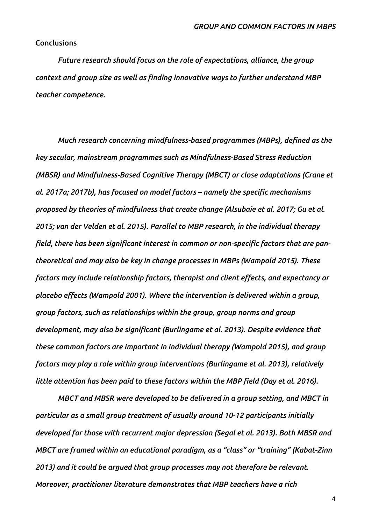## **Conclusions**

*Future research should focus on the role of expectations, alliance, the group context and group size as well as finding innovative ways to further understand MBP teacher competence.* 

*Much research concerning mindfulness-based programmes (MBPs), defined as the key secular, mainstream programmes such as Mindfulness-Based Stress Reduction (MBSR) and Mindfulness-Based Cognitive Therapy (MBCT) or close adaptations (Crane et al. 2017a; 2017b), has focused on model factors – namely the specific mechanisms proposed by theories of mindfulness that create change (Alsubaie et al. 2017; Gu et al. 2015; van der Velden et al. 2015). Parallel to MBP research, in the individual therapy field, there has been significant interest in common or non-specific factors that are pantheoretical and may also be key in change processes in MBPs (Wampold 2015). These factors may include relationship factors, therapist and client effects, and expectancy or placebo effects (Wampold 2001). Where the intervention is delivered within a group, group factors, such as relationships within the group, group norms and group development, may also be significant (Burlingame et al. 2013). Despite evidence that these common factors are important in individual therapy (Wampold 2015), and group factors may play a role within group interventions (Burlingame et al. 2013), relatively little attention has been paid to these factors within the MBP field (Day et al. 2016).* 

*MBCT and MBSR were developed to be delivered in a group setting, and MBCT in particular as a small group treatment of usually around 10-12 participants initially developed for those with recurrent major depression (Segal et al. 2013). Both MBSR and MBCT are framed within an educational paradigm, as a "class" or "training" (Kabat-Zinn 2013) and it could be argued that group processes may not therefore be relevant. Moreover, practitioner literature demonstrates that MBP teachers have a rich*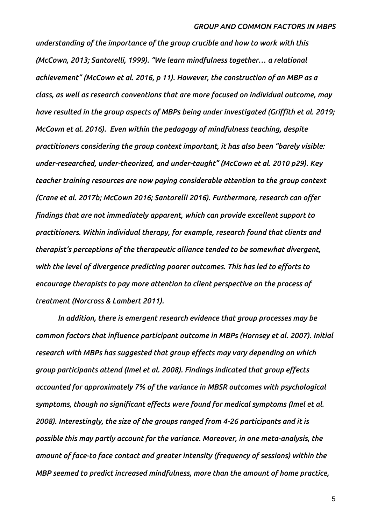*understanding of the importance of the group crucible and how to work with this (McCown, 2013; Santorelli, 1999). "We learn mindfulness together… a relational achievement" (McCown et al. 2016, p 11). However, the construction of an MBP as a class, as well as research conventions that are more focused on individual outcome, may have resulted in the group aspects of MBPs being under investigated (Griffith et al. 2019; McCown et al. 2016). Even within the pedagogy of mindfulness teaching, despite practitioners considering the group context important, it has also been "barely visible: under-researched, under-theorized, and under-taught" (McCown et al. 2010 p29). Key teacher training resources are now paying considerable attention to the group context (Crane et al. 2017b; McCown 2016; Santorelli 2016). Furthermore, research can offer findings that are not immediately apparent, which can provide excellent support to practitioners. Within individual therapy, for example, research found that clients and therapist's perceptions of the therapeutic alliance tended to be somewhat divergent, with the level of divergence predicting poorer outcomes. This has led to efforts to encourage therapists to pay more attention to client perspective on the process of treatment (Norcross & Lambert 2011).*

*In addition, there is emergent research evidence that group processes may be common factors that influence participant outcome in MBPs (Hornsey et al. 2007). Initial research with MBPs has suggested that group effects may vary depending on which group participants attend (Imel et al. 2008). Findings indicated that group effects accounted for approximately 7% of the variance in MBSR outcomes with psychological symptoms, though no significant effects were found for medical symptoms (Imel et al. 2008). Interestingly, the size of the groups ranged from 4-26 participants and it is possible this may partly account for the variance. Moreover, in one meta-analysis, the amount of face-to face contact and greater intensity (frequency of sessions) within the MBP seemed to predict increased mindfulness, more than the amount of home practice,*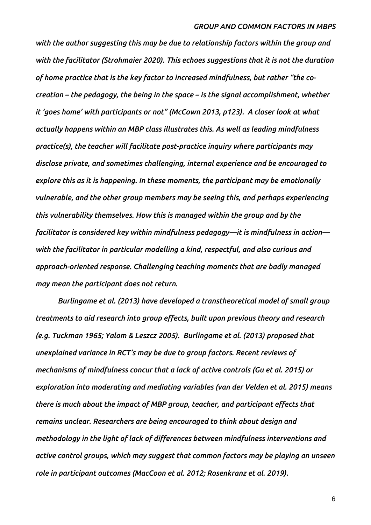*with the author suggesting this may be due to relationship factors within the group and with the facilitator (Strohmaier 2020). This echoes suggestions that it is not the duration of home practice that is the key factor to increased mindfulness, but rather "the cocreation – the pedagogy, the being in the space – is the signal accomplishment, whether it 'goes home' with participants or not" (McCown 2013, p123). A closer look at what actually happens within an MBP class illustrates this. As well as leading mindfulness practice(s), the teacher will facilitate post-practice inquiry where participants may disclose private, and sometimes challenging, internal experience and be encouraged to explore this as it is happening. In these moments, the participant may be emotionally vulnerable, and the other group members may be seeing this, and perhaps experiencing this vulnerability themselves. How this is managed within the group and by the facilitator is considered key within mindfulness pedagogy—it is mindfulness in action with the facilitator in particular modelling a kind, respectful, and also curious and approach-oriented response. Challenging teaching moments that are badly managed may mean the participant does not return.* 

*Burlingame et al. (2013) have developed a transtheoretical model of small group treatments to aid research into group effects, built upon previous theory and research (e.g. Tuckman 1965; Yalom & Leszcz 2005). Burlingame et al. (2013) proposed that unexplained variance in RCT's may be due to group factors. Recent reviews of mechanisms of mindfulness concur that a lack of active controls (Gu et al. 2015) or exploration into moderating and mediating variables (van der Velden et al. 2015) means there is much about the impact of MBP group, teacher, and participant effects that remains unclear. Researchers are being encouraged to think about design and methodology in the light of lack of differences between mindfulness interventions and active control groups, which may suggest that common factors may be playing an unseen role in participant outcomes (MacCoon et al. 2012; Rosenkranz et al. 2019).*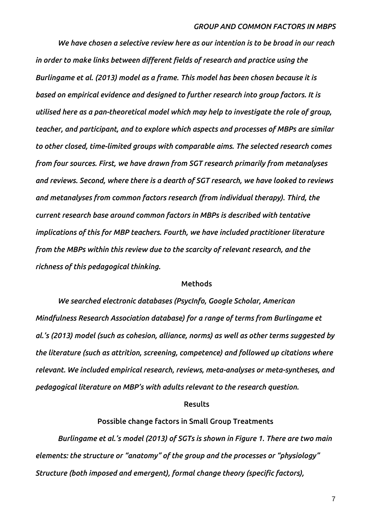*We have chosen a selective review here as our intention is to be broad in our reach in order to make links between different fields of research and practice using the Burlingame et al. (2013) model as a frame. This model has been chosen because it is based on empirical evidence and designed to further research into group factors. It is utilised here as a pan-theoretical model which may help to investigate the role of group, teacher, and participant, and to explore which aspects and processes of MBPs are similar to other closed, time-limited groups with comparable aims. The selected research comes from four sources. First, we have drawn from SGT research primarily from metanalyses and reviews. Second, where there is a dearth of SGT research, we have looked to reviews and metanalyses from common factors research (from individual therapy). Third, the current research base around common factors in MBPs is described with tentative implications of this for MBP teachers. Fourth, we have included practitioner literature from the MBPs within this review due to the scarcity of relevant research, and the richness of this pedagogical thinking.* 

#### **Methods**

*We searched electronic databases (PsycInfo, Google Scholar, American Mindfulness Research Association database) for a range of terms from Burlingame et al.'s (2013) model (such as cohesion, alliance, norms) as well as other terms suggested by the literature (such as attrition, screening, competence) and followed up citations where relevant. We included empirical research, reviews, meta-analyses or meta-syntheses, and pedagogical literature on MBP's with adults relevant to the research question.* 

#### **Results**

## **Possible change factors in Small Group Treatments**

*Burlingame et al.'s model (2013) of SGTs is shown in Figure 1. There are two main elements: the structure or "anatomy" of the group and the processes or "physiology" Structure (both imposed and emergent), formal change theory (specific factors),*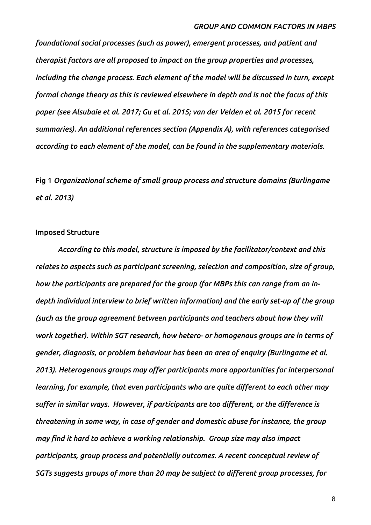*foundational social processes (such as power), emergent processes, and patient and therapist factors are all proposed to impact on the group properties and processes, including the change process. Each element of the model will be discussed in turn, except formal change theory as this is reviewed elsewhere in depth and is not the focus of this paper (see Alsubaie et al. 2017; Gu et al. 2015; van der Velden et al. 2015 for recent summaries). An additional references section (Appendix A), with references categorised according to each element of the model, can be found in the supplementary materials.* 

**Fig 1** *Organizational scheme of small group process and structure domains (Burlingame et al. 2013)* 

#### **Imposed Structure**

*According to this model, structure is imposed by the facilitator/context and this relates to aspects such as participant screening, selection and composition, size of group, how the participants are prepared for the group (for MBPs this can range from an indepth individual interview to brief written information) and the early set-up of the group (such as the group agreement between participants and teachers about how they will work together). Within SGT research, how hetero- or homogenous groups are in terms of gender, diagnosis, or problem behaviour has been an area of enquiry (Burlingame et al. 2013). Heterogenous groups may offer participants more opportunities for interpersonal learning, for example, that even participants who are quite different to each other may suffer in similar ways. However, if participants are too different, or the difference is threatening in some way, in case of gender and domestic abuse for instance, the group may find it hard to achieve a working relationship. Group size may also impact participants, group process and potentially outcomes. A recent conceptual review of SGTs suggests groups of more than 20 may be subject to different group processes, for*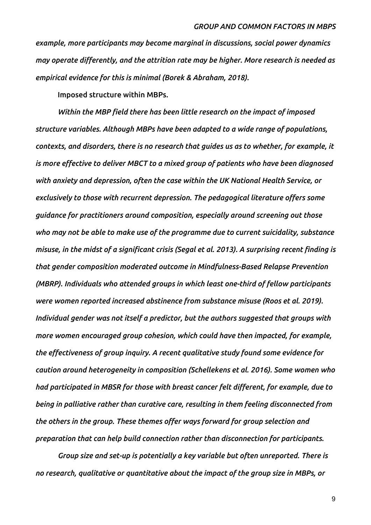*example, more participants may become marginal in discussions, social power dynamics may operate differently, and the attrition rate may be higher. More research is needed as empirical evidence for this is minimal (Borek & Abraham, 2018).* 

**Imposed structure within MBPs.**

*Within the MBP field there has been little research on the impact of imposed structure variables. Although MBPs have been adapted to a wide range of populations, contexts, and disorders, there is no research that guides us as to whether, for example, it is more effective to deliver MBCT to a mixed group of patients who have been diagnosed with anxiety and depression, often the case within the UK National Health Service, or exclusively to those with recurrent depression. The pedagogical literature offers some guidance for practitioners around composition, especially around screening out those who may not be able to make use of the programme due to current suicidality, substance misuse, in the midst of a significant crisis (Segal et al. 2013). A surprising recent finding is that gender composition moderated outcome in Mindfulness-Based Relapse Prevention (MBRP). Individuals who attended groups in which least one-third of fellow participants were women reported increased abstinence from substance misuse (Roos et al. 2019). Individual gender was not itself a predictor, but the authors suggested that groups with more women encouraged group cohesion, which could have then impacted, for example, the effectiveness of group inquiry. A recent qualitative study found some evidence for caution around heterogeneity in composition (Schellekens et al. 2016). Some women who had participated in MBSR for those with breast cancer felt different, for example, due to being in palliative rather than curative care, resulting in them feeling disconnected from the others in the group. These themes offer ways forward for group selection and preparation that can help build connection rather than disconnection for participants.* 

*Group size and set-up is potentially a key variable but often unreported. There is no research, qualitative or quantitative about the impact of the group size in MBPs, or*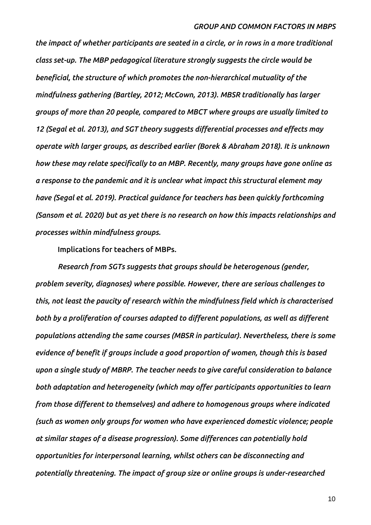*the impact of whether participants are seated in a circle, or in rows in a more traditional class set-up. The MBP pedagogical literature strongly suggests the circle would be beneficial, the structure of which promotes the non-hierarchical mutuality of the mindfulness gathering (Bartley, 2012; McCown, 2013). MBSR traditionally has larger groups of more than 20 people, compared to MBCT where groups are usually limited to 12 (Segal et al. 2013), and SGT theory suggests differential processes and effects may operate with larger groups, as described earlier (Borek & Abraham 2018). It is unknown how these may relate specifically to an MBP. Recently, many groups have gone online as a response to the pandemic and it is unclear what impact this structural element may have (Segal et al. 2019). Practical guidance for teachers has been quickly forthcoming (Sansom et al. 2020) but as yet there is no research on how this impacts relationships and processes within mindfulness groups.* 

**Implications for teachers of MBPs.**

*Research from SGTs suggests that groups should be heterogenous (gender, problem severity, diagnoses) where possible. However, there are serious challenges to this, not least the paucity of research within the mindfulness field which is characterised both by a proliferation of courses adapted to different populations, as well as different populations attending the same courses (MBSR in particular). Nevertheless, there is some evidence of benefit if groups include a good proportion of women, though this is based upon a single study of MBRP. The teacher needs to give careful consideration to balance both adaptation and heterogeneity (which may offer participants opportunities to learn from those different to themselves) and adhere to homogenous groups where indicated (such as women only groups for women who have experienced domestic violence; people at similar stages of a disease progression). Some differences can potentially hold opportunities for interpersonal learning, whilst others can be disconnecting and potentially threatening. The impact of group size or online groups is under-researched*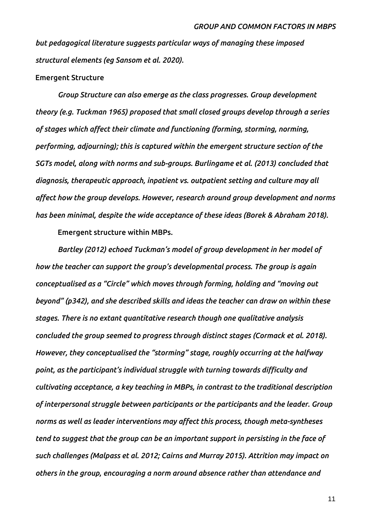*but pedagogical literature suggests particular ways of managing these imposed structural elements (eg Sansom et al. 2020).*

## **Emergent Structure**

*Group Structure can also emerge as the class progresses. Group development theory (e.g. Tuckman 1965) proposed that small closed groups develop through a series of stages which affect their climate and functioning (forming, storming, norming, performing, adjourning); this is captured within the emergent structure section of the SGTs model, along with norms and sub-groups. Burlingame et al. (2013) concluded that diagnosis, therapeutic approach, inpatient vs. outpatient setting and culture may all affect how the group develops. However, research around group development and norms has been minimal, despite the wide acceptance of these ideas (Borek & Abraham 2018).* 

**Emergent structure within MBPs.**

*Bartley (2012) echoed Tuckman's model of group development in her model of how the teacher can support the group's developmental process. The group is again conceptualised as a "Circle" which moves through forming, holding and "moving out beyond" (p342), and she described skills and ideas the teacher can draw on within these stages. There is no extant quantitative research though one qualitative analysis concluded the group seemed to progress through distinct stages (Cormack et al. 2018). However, they conceptualised the "storming" stage, roughly occurring at the halfway point, as the participant's individual struggle with turning towards difficulty and cultivating acceptance, a key teaching in MBPs, in contrast to the traditional description of interpersonal struggle between participants or the participants and the leader. Group norms as well as leader interventions may affect this process, though meta-syntheses tend to suggest that the group can be an important support in persisting in the face of such challenges (Malpass et al. 2012; Cairns and Murray 2015). Attrition may impact on others in the group, encouraging a norm around absence rather than attendance and*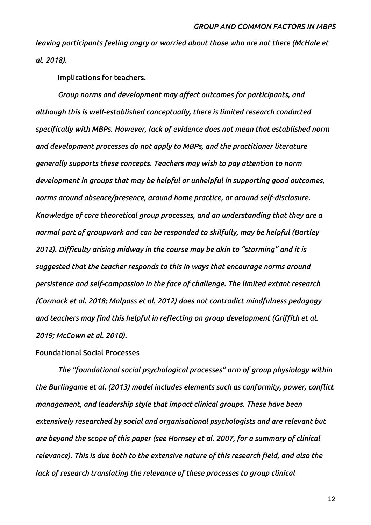*leaving participants feeling angry or worried about those who are not there (McHale et al. 2018).*

**Implications for teachers.**

*Group norms and development may affect outcomes for participants, and although this is well-established conceptually, there is limited research conducted specifically with MBPs. However, lack of evidence does not mean that established norm and development processes do not apply to MBPs, and the practitioner literature generally supports these concepts. Teachers may wish to pay attention to norm development in groups that may be helpful or unhelpful in supporting good outcomes, norms around absence/presence, around home practice, or around self-disclosure. Knowledge of core theoretical group processes, and an understanding that they are a normal part of groupwork and can be responded to skilfully, may be helpful (Bartley 2012). Difficulty arising midway in the course may be akin to "storming" and it is suggested that the teacher responds to this in ways that encourage norms around persistence and self-compassion in the face of challenge. The limited extant research (Cormack et al. 2018; Malpass et al. 2012) does not contradict mindfulness pedagogy and teachers may find this helpful in reflecting on group development (Griffith et al. 2019; McCown et al. 2010).*

## **Foundational Social Processes**

*The "foundational social psychological processes" arm of group physiology within the Burlingame et al. (2013) model includes elements such as conformity, power, conflict management, and leadership style that impact clinical groups. These have been extensively researched by social and organisational psychologists and are relevant but are beyond the scope of this paper (see Hornsey et al. 2007, for a summary of clinical relevance). This is due both to the extensive nature of this research field, and also the lack of research translating the relevance of these processes to group clinical*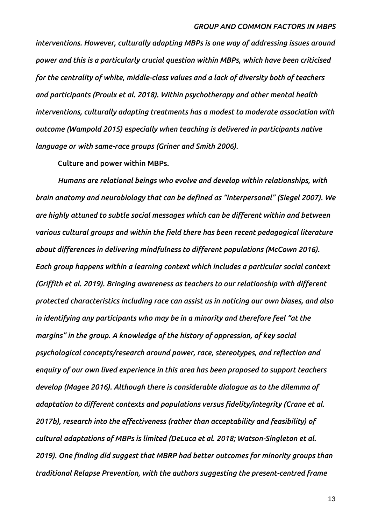*interventions. However, culturally adapting MBPs is one way of addressing issues around power and this is a particularly crucial question within MBPs, which have been criticised for the centrality of white, middle-class values and a lack of diversity both of teachers and participants (Proulx et al. 2018). Within psychotherapy and other mental health interventions, culturally adapting treatments has a modest to moderate association with outcome (Wampold 2015) especially when teaching is delivered in participants native language or with same-race groups (Griner and Smith 2006).* 

**Culture and power within MBPs.**

*Humans are relational beings who evolve and develop within relationships, with brain anatomy and neurobiology that can be defined as "interpersonal" (Siegel 2007). We are highly attuned to subtle social messages which can be different within and between various cultural groups and within the field there has been recent pedagogical literature about differences in delivering mindfulness to different populations (McCown 2016). Each group happens within a learning context which includes a particular social context (Griffith et al. 2019). Bringing awareness as teachers to our relationship with different protected characteristics including race can assist us in noticing our own biases, and also in identifying any participants who may be in a minority and therefore feel "at the margins" in the group. A knowledge of the history of oppression, of key social psychological concepts/research around power, race, stereotypes, and reflection and enquiry of our own lived experience in this area has been proposed to support teachers develop (Magee 2016). Although there is considerable dialogue as to the dilemma of adaptation to different contexts and populations versus fidelity/integrity (Crane et al. 2017b), research into the effectiveness (rather than acceptability and feasibility) of cultural adaptations of MBPs is limited (DeLuca et al. 2018; Watson-Singleton et al. 2019). One finding did suggest that MBRP had better outcomes for minority groups than traditional Relapse Prevention, with the authors suggesting the present-centred frame*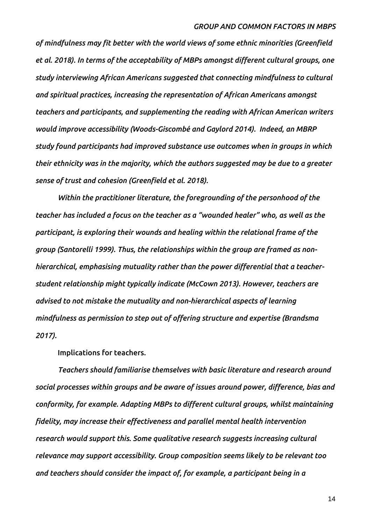*of mindfulness may fit better with the world views of some ethnic minorities (Greenfield et al. 2018). In terms of the acceptability of MBPs amongst different cultural groups, one study interviewing African Americans suggested that connecting mindfulness to cultural and spiritual practices, increasing the representation of African Americans amongst teachers and participants, and supplementing the reading with African American writers would improve accessibility (Woods-Giscombé and Gaylord 2014). Indeed, an MBRP study found participants had improved substance use outcomes when in groups in which their ethnicity was in the majority, which the authors suggested may be due to a greater sense of trust and cohesion (Greenfield et al. 2018).*

*Within the practitioner literature, the foregrounding of the personhood of the teacher has included a focus on the teacher as a "wounded healer" who, as well as the participant, is exploring their wounds and healing within the relational frame of the group (Santorelli 1999). Thus, the relationships within the group are framed as nonhierarchical, emphasising mutuality rather than the power differential that a teacherstudent relationship might typically indicate (McCown 2013). However, teachers are advised to not mistake the mutuality and non-hierarchical aspects of learning mindfulness as permission to step out of offering structure and expertise (Brandsma 2017).* 

**Implications for teachers.**

*Teachers should familiarise themselves with basic literature and research around social processes within groups and be aware of issues around power, difference, bias and conformity, for example. Adapting MBPs to different cultural groups, whilst maintaining fidelity, may increase their effectiveness and parallel mental health intervention research would support this. Some qualitative research suggests increasing cultural relevance may support accessibility. Group composition seems likely to be relevant too and teachers should consider the impact of, for example, a participant being in a*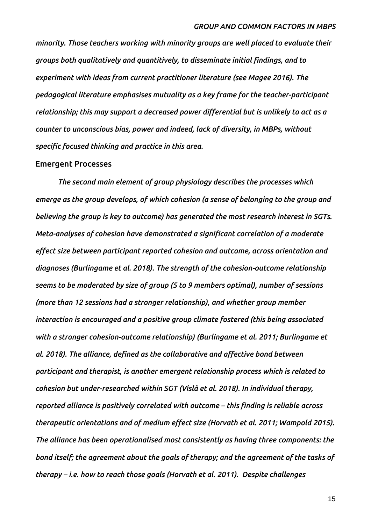*minority. Those teachers working with minority groups are well placed to evaluate their groups both qualitatively and quantitively, to disseminate initial findings, and to experiment with ideas from current practitioner literature (see Magee 2016). The pedagogical literature emphasises mutuality as a key frame for the teacher-participant relationship; this may support a decreased power differential but is unlikely to act as a counter to unconscious bias, power and indeed, lack of diversity, in MBPs, without specific focused thinking and practice in this area.*

#### **Emergent Processes**

*The second main element of group physiology describes the processes which emerge as the group develops, of which cohesion (a sense of belonging to the group and believing the group is key to outcome) has generated the most research interest in SGTs. Meta-analyses of cohesion have demonstrated a significant correlation of a moderate effect size between participant reported cohesion and outcome, across orientation and diagnoses (Burlingame et al. 2018). The strength of the cohesion-outcome relationship seems to be moderated by size of group (5 to 9 members optimal), number of sessions (more than 12 sessions had a stronger relationship), and whether group member interaction is encouraged and a positive group climate fostered (this being associated with a stronger cohesion-outcome relationship) (Burlingame et al. 2011; Burlingame et al. 2018). The alliance, defined as the collaborative and affective bond between participant and therapist, is another emergent relationship process which is related to cohesion but under-researched within SGT (Vîslă et al. 2018). In individual therapy, reported alliance is positively correlated with outcome – this finding is reliable across therapeutic orientations and of medium effect size (Horvath et al. 2011; Wampold 2015). The alliance has been operationalised most consistently as having three components: the bond itself; the agreement about the goals of therapy; and the agreement of the tasks of therapy – i.e. how to reach those goals (Horvath et al. 2011). Despite challenges*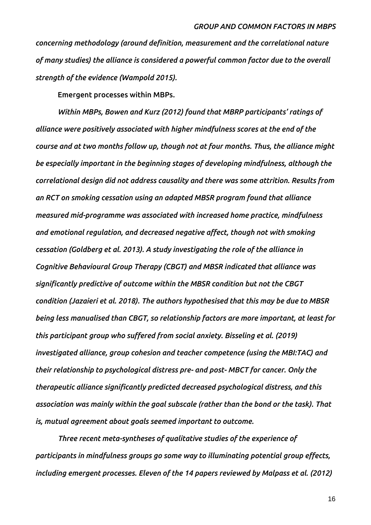*concerning methodology (around definition, measurement and the correlational nature of many studies) the alliance is considered a powerful common factor due to the overall strength of the evidence (Wampold 2015).*

**Emergent processes within MBPs.**

*Within MBPs, Bowen and Kurz (2012) found that MBRP participants' ratings of alliance were positively associated with higher mindfulness scores at the end of the course and at two months follow up, though not at four months. Thus, the alliance might be especially important in the beginning stages of developing mindfulness, although the correlational design did not address causality and there was some attrition. Results from an RCT on smoking cessation using an adapted MBSR program found that alliance measured mid-programme was associated with increased home practice, mindfulness and emotional regulation, and decreased negative affect, though not with smoking cessation (Goldberg et al. 2013). A study investigating the role of the alliance in Cognitive Behavioural Group Therapy (CBGT) and MBSR indicated that alliance was significantly predictive of outcome within the MBSR condition but not the CBGT condition (Jazaieri et al. 2018). The authors hypothesised that this may be due to MBSR being less manualised than CBGT, so relationship factors are more important, at least for this participant group who suffered from social anxiety. Bisseling et al. (2019) investigated alliance, group cohesion and teacher competence (using the MBI:TAC) and their relationship to psychological distress pre- and post- MBCT for cancer. Only the therapeutic alliance significantly predicted decreased psychological distress, and this association was mainly within the goal subscale (rather than the bond or the task). That is, mutual agreement about goals seemed important to outcome.* 

*Three recent meta-syntheses of qualitative studies of the experience of participants in mindfulness groups go some way to illuminating potential group effects, including emergent processes. Eleven of the 14 papers reviewed by Malpass et al. (2012)*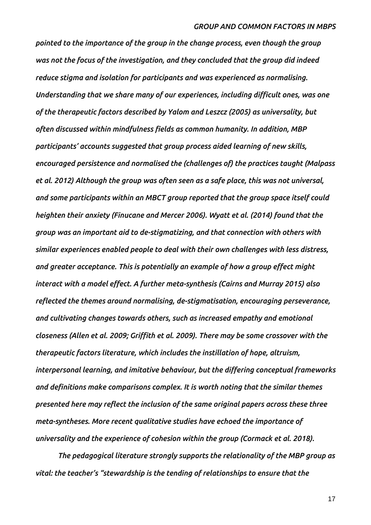*pointed to the importance of the group in the change process, even though the group was not the focus of the investigation, and they concluded that the group did indeed reduce stigma and isolation for participants and was experienced as normalising. Understanding that we share many of our experiences, including difficult ones, was one of the therapeutic factors described by Yalom and Leszcz (2005) as universality, but often discussed within mindfulness fields as common humanity. In addition, MBP participants' accounts suggested that group process aided learning of new skills, encouraged persistence and normalised the (challenges of) the practices taught (Malpass et al. 2012) Although the group was often seen as a safe place, this was not universal, and some participants within an MBCT group reported that the group space itself could heighten their anxiety (Finucane and Mercer 2006). Wyatt et al. (2014) found that the group was an important aid to de-stigmatizing, and that connection with others with similar experiences enabled people to deal with their own challenges with less distress, and greater acceptance. This is potentially an example of how a group effect might interact with a model effect. A further meta-synthesis (Cairns and Murray 2015) also reflected the themes around normalising, de-stigmatisation, encouraging perseverance, and cultivating changes towards others, such as increased empathy and emotional closeness (Allen et al. 2009; Griffith et al. 2009). There may be some crossover with the therapeutic factors literature, which includes the instillation of hope, altruism, interpersonal learning, and imitative behaviour, but the differing conceptual frameworks and definitions make comparisons complex. It is worth noting that the similar themes presented here may reflect the inclusion of the same original papers across these three meta-syntheses. More recent qualitative studies have echoed the importance of universality and the experience of cohesion within the group (Cormack et al. 2018).* 

*The pedagogical literature strongly supports the relationality of the MBP group as vital: the teacher's "stewardship is the tending of relationships to ensure that the*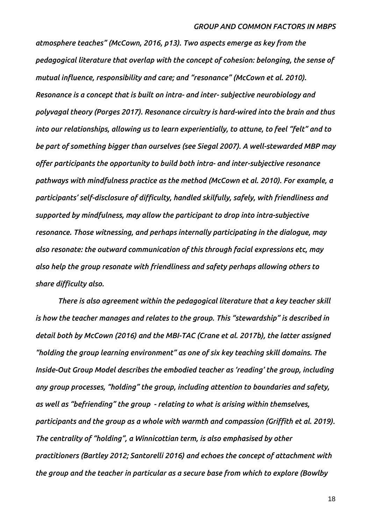*atmosphere teaches" (McCown, 2016, p13). Two aspects emerge as key from the pedagogical literature that overlap with the concept of cohesion: belonging, the sense of mutual influence, responsibility and care; and "resonance" (McCown et al. 2010). Resonance is a concept that is built on intra- and inter- subjective neurobiology and polyvagal theory (Porges 2017). Resonance circuitry is hard-wired into the brain and thus into our relationships, allowing us to learn experientially, to attune, to feel "felt" and to be part of something bigger than ourselves (see Siegal 2007). A well-stewarded MBP may offer participants the opportunity to build both intra- and inter-subjective resonance pathways with mindfulness practice as the method (McCown et al. 2010). For example, a participants' self-disclosure of difficulty, handled skilfully, safely, with friendliness and supported by mindfulness, may allow the participant to drop into intra-subjective resonance. Those witnessing, and perhaps internally participating in the dialogue, may also resonate: the outward communication of this through facial expressions etc, may also help the group resonate with friendliness and safety perhaps allowing others to share difficulty also.* 

*There is also agreement within the pedagogical literature that a key teacher skill is how the teacher manages and relates to the group. This "stewardship" is described in detail both by McCown (2016) and the MBI-TAC (Crane et al. 2017b), the latter assigned "holding the group learning environment" as one of six key teaching skill domains. The Inside-Out Group Model describes the embodied teacher as 'reading' the group, including any group processes, "holding" the group, including attention to boundaries and safety, as well as "befriending" the group - relating to what is arising within themselves, participants and the group as a whole with warmth and compassion (Griffith et al. 2019). The centrality of "holding", a Winnicottian term, is also emphasised by other practitioners (Bartley 2012; Santorelli 2016) and echoes the concept of attachment with the group and the teacher in particular as a secure base from which to explore (Bowlby*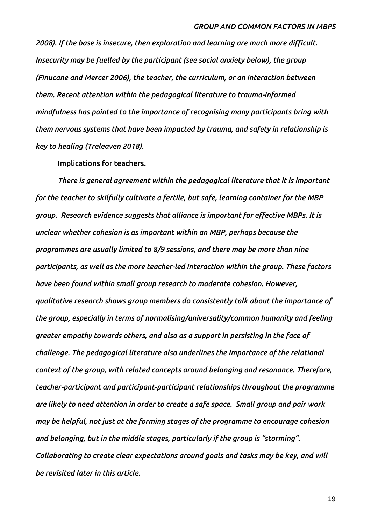*2008). If the base is insecure, then exploration and learning are much more difficult. Insecurity may be fuelled by the participant (see social anxiety below), the group (Finucane and Mercer 2006), the teacher, the curriculum, or an interaction between them. Recent attention within the pedagogical literature to trauma-informed mindfulness has pointed to the importance of recognising many participants bring with them nervous systems that have been impacted by trauma, and safety in relationship is key to healing (Treleaven 2018).* 

**Implications for teachers.**

*There is general agreement within the pedagogical literature that it is important for the teacher to skilfully cultivate a fertile, but safe, learning container for the MBP group. Research evidence suggests that alliance is important for effective MBPs. It is unclear whether cohesion is as important within an MBP, perhaps because the programmes are usually limited to 8/9 sessions, and there may be more than nine participants, as well as the more teacher-led interaction within the group. These factors have been found within small group research to moderate cohesion. However, qualitative research shows group members do consistently talk about the importance of the group, especially in terms of normalising/universality/common humanity and feeling greater empathy towards others, and also as a support in persisting in the face of challenge. The pedagogical literature also underlines the importance of the relational context of the group, with related concepts around belonging and resonance. Therefore, teacher-participant and participant-participant relationships throughout the programme are likely to need attention in order to create a safe space. Small group and pair work may be helpful, not just at the forming stages of the programme to encourage cohesion and belonging, but in the middle stages, particularly if the group is "storming". Collaborating to create clear expectations around goals and tasks may be key, and will be revisited later in this article.*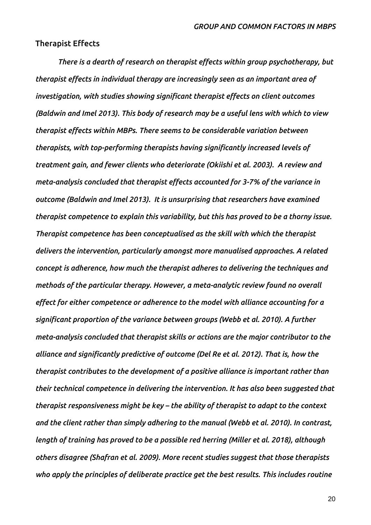## **Therapist Effects**

*There is a dearth of research on therapist effects within group psychotherapy, but therapist effects in individual therapy are increasingly seen as an important area of investigation, with studies showing significant therapist effects on client outcomes (Baldwin and Imel 2013). This body of research may be a useful lens with which to view therapist effects within MBPs. There seems to be considerable variation between therapists, with top-performing therapists having significantly increased levels of treatment gain, and fewer clients who deteriorate (Okiishi et al. 2003). A review and meta-analysis concluded that therapist effects accounted for 3-7% of the variance in outcome (Baldwin and Imel 2013). It is unsurprising that researchers have examined therapist competence to explain this variability, but this has proved to be a thorny issue. Therapist competence has been conceptualised as the skill with which the therapist delivers the intervention, particularly amongst more manualised approaches. A related concept is adherence, how much the therapist adheres to delivering the techniques and methods of the particular therapy. However, a meta-analytic review found no overall effect for either competence or adherence to the model with alliance accounting for a significant proportion of the variance between groups (Webb et al. 2010). A further meta-analysis concluded that therapist skills or actions are the major contributor to the alliance and significantly predictive of outcome (Del Re et al. 2012). That is, how the therapist contributes to the development of a positive alliance is important rather than their technical competence in delivering the intervention. It has also been suggested that therapist responsiveness might be key – the ability of therapist to adapt to the context and the client rather than simply adhering to the manual (Webb et al. 2010). In contrast, length of training has proved to be a possible red herring (Miller et al. 2018), although others disagree (Shafran et al. 2009). More recent studies suggest that those therapists who apply the principles of deliberate practice get the best results. This includes routine*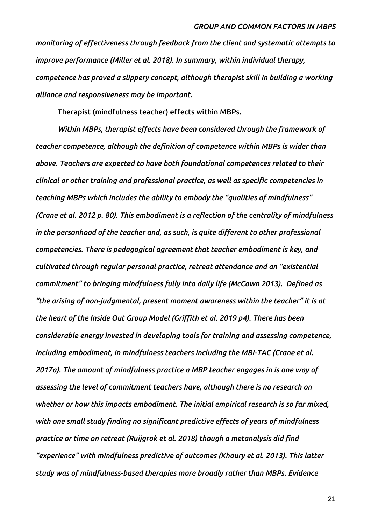*monitoring of effectiveness through feedback from the client and systematic attempts to improve performance (Miller et al. 2018). In summary, within individual therapy, competence has proved a slippery concept, although therapist skill in building a working alliance and responsiveness may be important.*

**Therapist (mindfulness teacher) effects within MBPs.**

*Within MBPs, therapist effects have been considered through the framework of teacher competence, although the definition of competence within MBPs is wider than above. Teachers are expected to have both foundational competences related to their clinical or other training and professional practice, as well as specific competencies in teaching MBPs which includes the ability to embody the "qualities of mindfulness" (Crane et al. 2012 p. 80). This embodiment is a reflection of the centrality of mindfulness in the personhood of the teacher and, as such, is quite different to other professional competencies. There is pedagogical agreement that teacher embodiment is key, and cultivated through regular personal practice, retreat attendance and an "existential commitment" to bringing mindfulness fully into daily life (McCown 2013). Defined as "the arising of non-judgmental, present moment awareness within the teacher" it is at the heart of the Inside Out Group Model (Griffith et al. 2019 p4). There has been considerable energy invested in developing tools for training and assessing competence, including embodiment, in mindfulness teachers including the MBI-TAC (Crane et al. 2017a). The amount of mindfulness practice a MBP teacher engages in is one way of assessing the level of commitment teachers have, although there is no research on whether or how this impacts embodiment. The initial empirical research is so far mixed, with one small study finding no significant predictive effects of years of mindfulness practice or time on retreat (Ruijgrok et al. 2018) though a metanalysis did find "experience" with mindfulness predictive of outcomes (Khoury et al. 2013). This latter study was of mindfulness-based therapies more broadly rather than MBPs. Evidence*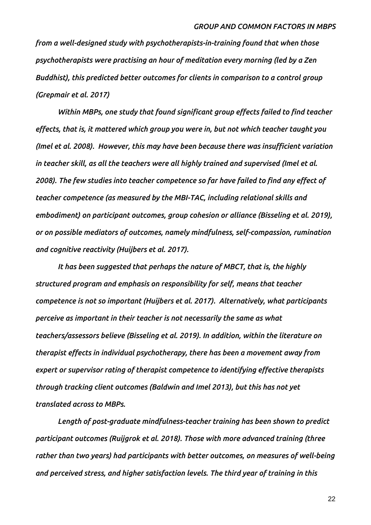*from a well-designed study with psychotherapists-in-training found that when those psychotherapists were practising an hour of meditation every morning (led by a Zen Buddhist), this predicted better outcomes for clients in comparison to a control group (Grepmair et al. 2017)*

*Within MBPs, one study that found significant group effects failed to find teacher effects, that is, it mattered which group you were in, but not which teacher taught you (Imel et al. 2008). However, this may have been because there was insufficient variation in teacher skill, as all the teachers were all highly trained and supervised (Imel et al. 2008). The few studies into teacher competence so far have failed to find any effect of teacher competence (as measured by the MBI-TAC, including relational skills and embodiment) on participant outcomes, group cohesion or alliance (Bisseling et al. 2019), or on possible mediators of outcomes, namely mindfulness, self-compassion, rumination and cognitive reactivity (Huijbers et al. 2017).* 

*It has been suggested that perhaps the nature of MBCT, that is, the highly structured program and emphasis on responsibility for self, means that teacher competence is not so important (Huijbers et al. 2017). Alternatively, what participants perceive as important in their teacher is not necessarily the same as what teachers/assessors believe (Bisseling et al. 2019). In addition, within the literature on therapist effects in individual psychotherapy, there has been a movement away from expert or supervisor rating of therapist competence to identifying effective therapists through tracking client outcomes (Baldwin and Imel 2013), but this has not yet translated across to MBPs.*

*Length of post-graduate mindfulness-teacher training has been shown to predict participant outcomes (Ruijgrok et al. 2018). Those with more advanced training (three rather than two years) had participants with better outcomes, on measures of well-being and perceived stress, and higher satisfaction levels. The third year of training in this*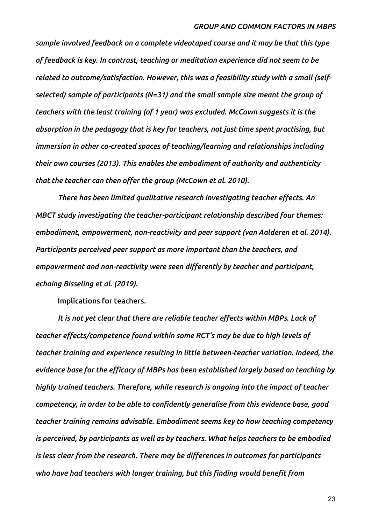*sample involved feedback on a complete videotaped course and it may be that this type of feedback is key. In contrast, teaching or meditation experience did not seem to be related to outcome/satisfaction. However, this was a feasibility study with a small (selfselected) sample of participants (N=31) and the small sample size meant the group of teachers with the least training (of 1 year) was excluded. McCown suggests it is the absorption in the pedagogy that is key for teachers, not just time spent practising, but immersion in other co-created spaces of teaching/learning and relationships including their own courses (2013). This enables the embodiment of authority and authenticity that the teacher can then offer the group (McCown et al. 2010).* 

*There has been limited qualitative research investigating teacher effects. An MBCT study investigating the teacher-participant relationship described four themes: embodiment, empowerment, non-reactivity and peer support (van Aalderen et al. 2014). Participants perceived peer support as more important than the teachers, and empowerment and non-reactivity were seen differently by teacher and participant, echoing Bisseling et al. (2019).* 

**Implications for teachers.**

*It is not yet clear that there are reliable teacher effects within MBPs. Lack of teacher effects/competence found within some RCT's may be due to high levels of teacher training and experience resulting in little between-teacher variation. Indeed, the evidence base for the efficacy of MBPs has been established largely based on teaching by highly trained teachers. Therefore, while research is ongoing into the impact of teacher competency, in order to be able to confidently generalise from this evidence base, good teacher training remains advisable. Embodiment seems key to how teaching competency is perceived, by participants as well as by teachers. What helps teachers to be embodied is less clear from the research. There may be differences in outcomes for participants who have had teachers with longer training, but this finding would benefit from*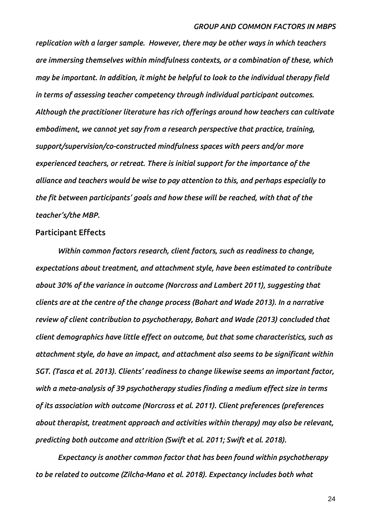*replication with a larger sample. However, there may be other ways in which teachers are immersing themselves within mindfulness contexts, or a combination of these, which may be important. In addition, it might be helpful to look to the individual therapy field in terms of assessing teacher competency through individual participant outcomes. Although the practitioner literature has rich offerings around how teachers can cultivate embodiment, we cannot yet say from a research perspective that practice, training, support/supervision/co-constructed mindfulness spaces with peers and/or more experienced teachers, or retreat. There is initial support for the importance of the alliance and teachers would be wise to pay attention to this, and perhaps especially to the fit between participants' goals and how these will be reached, with that of the teacher's/the MBP.* 

## **Participant Effects**

*Within common factors research, client factors, such as readiness to change, expectations about treatment, and attachment style, have been estimated to contribute about 30% of the variance in outcome (Norcross and Lambert 2011), suggesting that clients are at the centre of the change process (Bohart and Wade 2013). In a narrative review of client contribution to psychotherapy, Bohart and Wade (2013) concluded that client demographics have little effect on outcome, but that some characteristics, such as attachment style, do have an impact, and attachment also seems to be significant within SGT. (Tasca et al. 2013). Clients' readiness to change likewise seems an important factor, with a meta-analysis of 39 psychotherapy studies finding a medium effect size in terms of its association with outcome (Norcross et al. 2011). Client preferences (preferences about therapist, treatment approach and activities within therapy) may also be relevant, predicting both outcome and attrition (Swift et al. 2011; Swift et al. 2018).*

*Expectancy is another common factor that has been found within psychotherapy to be related to outcome (Zilcha-Mano et al. 2018). Expectancy includes both what*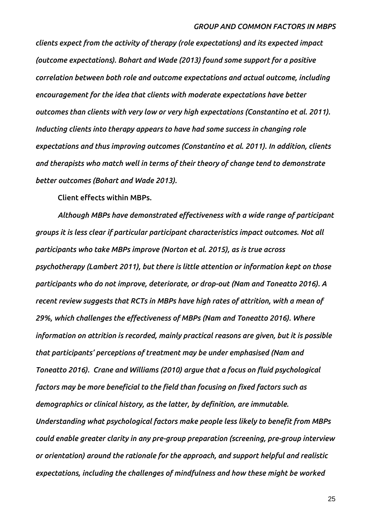*clients expect from the activity of therapy (role expectations) and its expected impact (outcome expectations). Bohart and Wade (2013) found some support for a positive correlation between both role and outcome expectations and actual outcome, including encouragement for the idea that clients with moderate expectations have better outcomes than clients with very low or very high expectations (Constantino et al. 2011). Inducting clients into therapy appears to have had some success in changing role expectations and thus improving outcomes (Constantino et al. 2011). In addition, clients and therapists who match well in terms of their theory of change tend to demonstrate better outcomes (Bohart and Wade 2013).* 

**Client effects within MBPs.**

*Although MBPs have demonstrated effectiveness with a wide range of participant groups it is less clear if particular participant characteristics impact outcomes. Not all participants who take MBPs improve (Norton et al. 2015), as is true across psychotherapy (Lambert 2011), but there is little attention or information kept on those participants who do not improve, deteriorate, or drop-out (Nam and Toneatto 2016). A recent review suggests that RCTs in MBPs have high rates of attrition, with a mean of 29%, which challenges the effectiveness of MBPs (Nam and Toneatto 2016). Where information on attrition is recorded, mainly practical reasons are given, but it is possible that participants' perceptions of treatment may be under emphasised (Nam and Toneatto 2016). Crane and Williams (2010) argue that a focus on fluid psychological factors may be more beneficial to the field than focusing on fixed factors such as demographics or clinical history, as the latter, by definition, are immutable. Understanding what psychological factors make people less likely to benefit from MBPs could enable greater clarity in any pre-group preparation (screening, pre-group interview or orientation) around the rationale for the approach, and support helpful and realistic expectations, including the challenges of mindfulness and how these might be worked*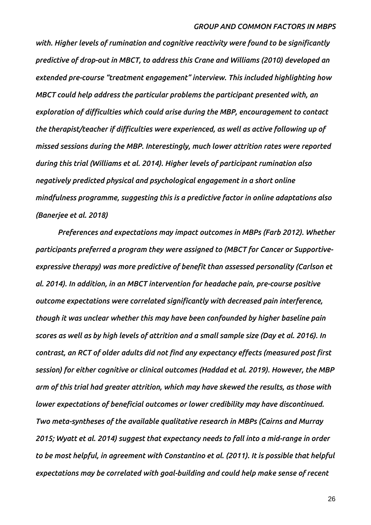*with. Higher levels of rumination and cognitive reactivity were found to be significantly predictive of drop-out in MBCT, to address this Crane and Williams (2010) developed an extended pre-course "treatment engagement" interview. This included highlighting how MBCT could help address the particular problems the participant presented with, an exploration of difficulties which could arise during the MBP, encouragement to contact the therapist/teacher if difficulties were experienced, as well as active following up of missed sessions during the MBP. Interestingly, much lower attrition rates were reported during this trial (Williams et al. 2014). Higher levels of participant rumination also negatively predicted physical and psychological engagement in a short online mindfulness programme, suggesting this is a predictive factor in online adaptations also (Banerjee et al. 2018)*

*Preferences and expectations may impact outcomes in MBPs (Farb 2012). Whether participants preferred a program they were assigned to (MBCT for Cancer or Supportiveexpressive therapy) was more predictive of benefit than assessed personality (Carlson et al. 2014). In addition, in an MBCT intervention for headache pain, pre-course positive outcome expectations were correlated significantly with decreased pain interference, though it was unclear whether this may have been confounded by higher baseline pain scores as well as by high levels of attrition and a small sample size (Day et al. 2016). In contrast, an RCT of older adults did not find any expectancy effects (measured post first session) for either cognitive or clinical outcomes (Haddad et al. 2019). However, the MBP arm of this trial had greater attrition, which may have skewed the results, as those with lower expectations of beneficial outcomes or lower credibility may have discontinued. Two meta-syntheses of the available qualitative research in MBPs (Cairns and Murray 2015; Wyatt et al. 2014) suggest that expectancy needs to fall into a mid-range in order to be most helpful, in agreement with Constantino et al. (2011). It is possible that helpful expectations may be correlated with goal-building and could help make sense of recent*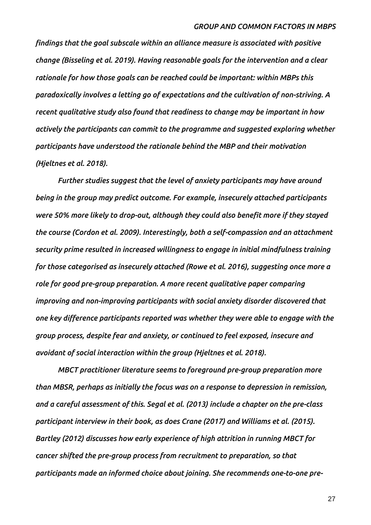*findings that the goal subscale within an alliance measure is associated with positive change (Bisseling et al. 2019). Having reasonable goals for the intervention and a clear rationale for how those goals can be reached could be important: within MBPs this paradoxically involves a letting go of expectations and the cultivation of non-striving. A recent qualitative study also found that readiness to change may be important in how actively the participants can commit to the programme and suggested exploring whether participants have understood the rationale behind the MBP and their motivation (Hjeltnes et al. 2018).* 

*Further studies suggest that the level of anxiety participants may have around being in the group may predict outcome. For example, insecurely attached participants were 50% more likely to drop-out, although they could also benefit more if they stayed the course (Cordon et al. 2009). Interestingly, both a self-compassion and an attachment security prime resulted in increased willingness to engage in initial mindfulness training for those categorised as insecurely attached (Rowe et al. 2016), suggesting once more a role for good pre-group preparation. A more recent qualitative paper comparing improving and non-improving participants with social anxiety disorder discovered that one key difference participants reported was whether they were able to engage with the group process, despite fear and anxiety, or continued to feel exposed, insecure and avoidant of social interaction within the group (Hjeltnes et al. 2018).* 

*MBCT practitioner literature seems to foreground pre-group preparation more than MBSR, perhaps as initially the focus was on a response to depression in remission, and a careful assessment of this. Segal et al. (2013) include a chapter on the pre-class participant interview in their book, as does Crane (2017) and Williams et al. (2015). Bartley (2012) discusses how early experience of high attrition in running MBCT for cancer shifted the pre-group process from recruitment to preparation, so that participants made an informed choice about joining. She recommends one-to-one pre-*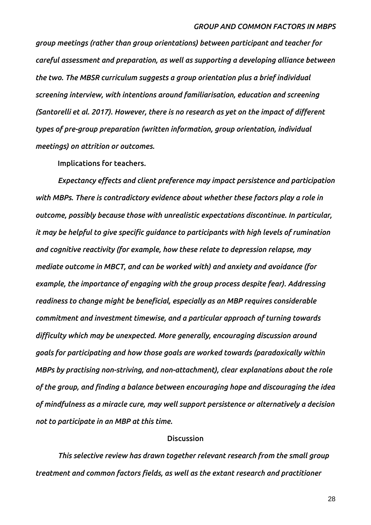*group meetings (rather than group orientations) between participant and teacher for careful assessment and preparation, as well as supporting a developing alliance between the two. The MBSR curriculum suggests a group orientation plus a brief individual screening interview, with intentions around familiarisation, education and screening (Santorelli et al. 2017). However, there is no research as yet on the impact of different types of pre-group preparation (written information, group orientation, individual meetings) on attrition or outcomes.*

**Implications for teachers.**

*Expectancy effects and client preference may impact persistence and participation with MBPs. There is contradictory evidence about whether these factors play a role in outcome, possibly because those with unrealistic expectations discontinue. In particular, it may be helpful to give specific guidance to participants with high levels of rumination and cognitive reactivity (for example, how these relate to depression relapse, may mediate outcome in MBCT, and can be worked with) and anxiety and avoidance (for example, the importance of engaging with the group process despite fear). Addressing readiness to change might be beneficial, especially as an MBP requires considerable commitment and investment timewise, and a particular approach of turning towards difficulty which may be unexpected. More generally, encouraging discussion around goals for participating and how those goals are worked towards (paradoxically within MBPs by practising non-striving, and non-attachment), clear explanations about the role of the group, and finding a balance between encouraging hope and discouraging the idea of mindfulness as a miracle cure, may well support persistence or alternatively a decision not to participate in an MBP at this time.*

## **Discussion**

*This selective review has drawn together relevant research from the small group treatment and common factors fields, as well as the extant research and practitioner*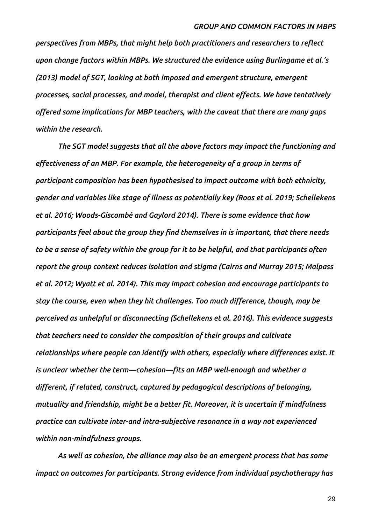*perspectives from MBPs, that might help both practitioners and researchers to reflect upon change factors within MBPs. We structured the evidence using Burlingame et al.'s (2013) model of SGT, looking at both imposed and emergent structure, emergent processes, social processes, and model, therapist and client effects. We have tentatively offered some implications for MBP teachers, with the caveat that there are many gaps within the research.* 

*The SGT model suggests that all the above factors may impact the functioning and effectiveness of an MBP. For example, the heterogeneity of a group in terms of participant composition has been hypothesised to impact outcome with both ethnicity, gender and variables like stage of illness as potentially key (Roos et al. 2019; Schellekens et al. 2016; Woods-Giscombé and Gaylord 2014). There is some evidence that how participants feel about the group they find themselves in is important, that there needs to be a sense of safety within the group for it to be helpful, and that participants often report the group context reduces isolation and stigma (Cairns and Murray 2015; Malpass et al. 2012; Wyatt et al. 2014). This may impact cohesion and encourage participants to stay the course, even when they hit challenges. Too much difference, though, may be perceived as unhelpful or disconnecting (Schellekens et al. 2016). This evidence suggests that teachers need to consider the composition of their groups and cultivate relationships where people can identify with others, especially where differences exist. It is unclear whether the term—cohesion—fits an MBP well-enough and whether a different, if related, construct, captured by pedagogical descriptions of belonging, mutuality and friendship, might be a better fit. Moreover, it is uncertain if mindfulness practice can cultivate inter-and intra-subjective resonance in a way not experienced within non-mindfulness groups.* 

*As well as cohesion, the alliance may also be an emergent process that has some impact on outcomes for participants. Strong evidence from individual psychotherapy has*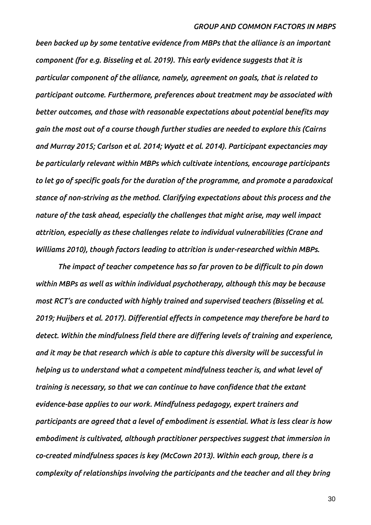*been backed up by some tentative evidence from MBPs that the alliance is an important component (for e.g. Bisseling et al. 2019). This early evidence suggests that it is particular component of the alliance, namely, agreement on goals, that is related to participant outcome. Furthermore, preferences about treatment may be associated with better outcomes, and those with reasonable expectations about potential benefits may gain the most out of a course though further studies are needed to explore this (Cairns and Murray 2015; Carlson et al. 2014; Wyatt et al. 2014). Participant expectancies may be particularly relevant within MBPs which cultivate intentions, encourage participants to let go of specific goals for the duration of the programme, and promote a paradoxical stance of non-striving as the method. Clarifying expectations about this process and the nature of the task ahead, especially the challenges that might arise, may well impact attrition, especially as these challenges relate to individual vulnerabilities (Crane and Williams 2010), though factors leading to attrition is under-researched within MBPs.*

*The impact of teacher competence has so far proven to be difficult to pin down within MBPs as well as within individual psychotherapy, although this may be because most RCT's are conducted with highly trained and supervised teachers (Bisseling et al. 2019; Huijbers et al. 2017). Differential effects in competence may therefore be hard to detect. Within the mindfulness field there are differing levels of training and experience, and it may be that research which is able to capture this diversity will be successful in helping us to understand what a competent mindfulness teacher is, and what level of training is necessary, so that we can continue to have confidence that the extant evidence-base applies to our work. Mindfulness pedagogy, expert trainers and participants are agreed that a level of embodiment is essential. What is less clear is how embodiment is cultivated, although practitioner perspectives suggest that immersion in co-created mindfulness spaces is key (McCown 2013). Within each group, there is a complexity of relationships involving the participants and the teacher and all they bring*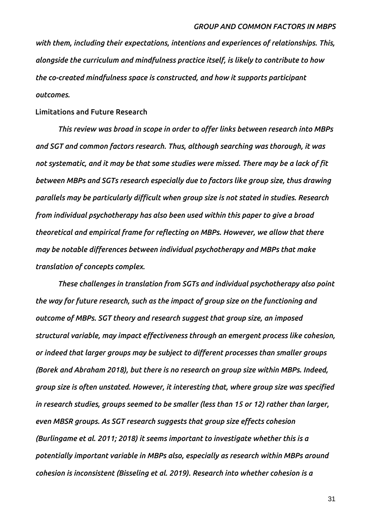*with them, including their expectations, intentions and experiences of relationships. This, alongside the curriculum and mindfulness practice itself, is likely to contribute to how the co-created mindfulness space is constructed, and how it supports participant outcomes.*

#### **Limitations and Future Research**

*This review was broad in scope in order to offer links between research into MBPs and SGT and common factors research. Thus, although searching was thorough, it was not systematic, and it may be that some studies were missed. There may be a lack of fit between MBPs and SGTs research especially due to factors like group size, thus drawing parallels may be particularly difficult when group size is not stated in studies. Research from individual psychotherapy has also been used within this paper to give a broad theoretical and empirical frame for reflecting on MBPs. However, we allow that there may be notable differences between individual psychotherapy and MBPs that make translation of concepts complex.* 

*These challenges in translation from SGTs and individual psychotherapy also point the way for future research, such as the impact of group size on the functioning and outcome of MBPs. SGT theory and research suggest that group size, an imposed structural variable, may impact effectiveness through an emergent process like cohesion, or indeed that larger groups may be subject to different processes than smaller groups (Borek and Abraham 2018), but there is no research on group size within MBPs. Indeed, group size is often unstated. However, it interesting that, where group size was specified in research studies, groups seemed to be smaller (less than 15 or 12) rather than larger, even MBSR groups. As SGT research suggests that group size effects cohesion (Burlingame et al. 2011; 2018) it seems important to investigate whether this is a potentially important variable in MBPs also, especially as research within MBPs around cohesion is inconsistent (Bisseling et al. 2019). Research into whether cohesion is a*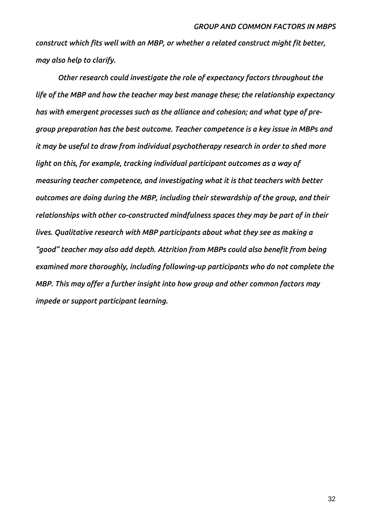*construct which fits well with an MBP, or whether a related construct might fit better, may also help to clarify.* 

*Other research could investigate the role of expectancy factors throughout the life of the MBP and how the teacher may best manage these; the relationship expectancy has with emergent processes such as the alliance and cohesion; and what type of pregroup preparation has the best outcome. Teacher competence is a key issue in MBPs and it may be useful to draw from individual psychotherapy research in order to shed more light on this, for example, tracking individual participant outcomes as a way of measuring teacher competence, and investigating what it is that teachers with better outcomes are doing during the MBP, including their stewardship of the group, and their relationships with other co-constructed mindfulness spaces they may be part of in their lives. Qualitative research with MBP participants about what they see as making a "good" teacher may also add depth. Attrition from MBPs could also benefit from being examined more thoroughly, including following-up participants who do not complete the MBP. This may offer a further insight into how group and other common factors may impede or support participant learning.*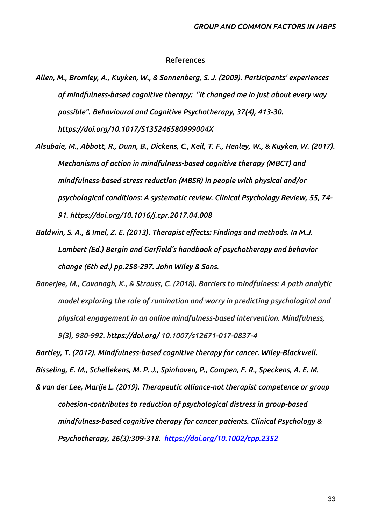## **References**

- *Allen, M., Bromley, A., Kuyken, W., & Sonnenberg, S. J. (2009). Participants' experiences of mindfulness-based cognitive therapy: "It changed me in just about every way possible". Behavioural and Cognitive Psychotherapy, 37(4), 413-30. https://doi.org/10.1017/S135246580999004X*
- *Alsubaie, M., Abbott, R., Dunn, B., Dickens, C., Keil, T. F., Henley, W., & Kuyken, W. (2017). Mechanisms of action in mindfulness-based cognitive therapy (MBCT) and mindfulness-based stress reduction (MBSR) in people with physical and/or psychological conditions: A systematic review. Clinical Psychology Review, 55, 74- 91. https:/[/doi.org/10.1016/j.cpr.2017.04.008](https://doi.org/10.1016/j.cpr.2017.04.008)*
- *Baldwin, S. A., & Imel, Z. E. (2013). Therapist effects: Findings and methods. In M.J. Lambert (Ed.) Bergin and Garfield's handbook of psychotherapy and behavior change (6th ed.) pp.258-297. John Wiley & Sons.*
- *Banerjee, M., Cavanagh, K., & Strauss, C. (2018). Barriers to mindfulness: A path analytic model exploring the role of rumination and worry in predicting psychological and physical engagement in an online mindfulness-based intervention. Mindfulness, 9(3), 980-992. https://doi.org/ 10.1007/s12671-017-0837-4*

*Bartley, T. (2012). Mindfulness-based cognitive therapy for cancer. Wiley-Blackwell.* 

*Bisseling, E. M., Schellekens, M. P. J., Spinhoven, P., Compen, F. R., Speckens, A. E. M.*

*& van der Lee, Marije L. (2019). Therapeutic alliance-not therapist competence or group cohesion-contributes to reduction of psychological distress in group-based mindfulness-based cognitive therapy for cancer patients. Clinical Psychology & Psychotherapy, 26(3):309-318. <https://doi.org/10.1002/cpp.2352>*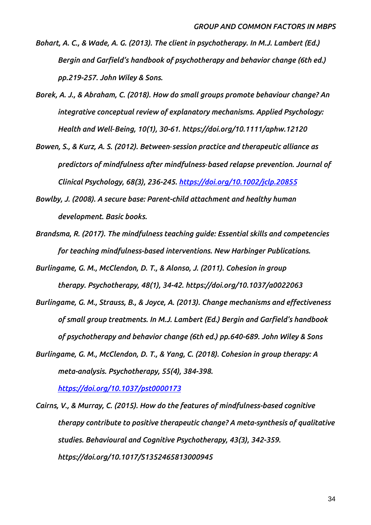- *Bohart, A. C., & Wade, A. G. (2013). The client in psychotherapy. In M.J. Lambert (Ed.) Bergin and Garfield's handbook of psychotherapy and behavior change (6th ed.) pp.219-257. John Wiley & Sons.*
- *Borek, A. J., & Abraham, C. (2018). How do small groups promote behaviour change? An integrative conceptual review of explanatory mechanisms. Applied Psychology: Health and Well‐Being, 10(1), 30-61. https://doi.org/10.1111/aphw.12120*
- *Bowen, S., & Kurz, A. S. (2012). Between*‐*session practice and therapeutic alliance as predictors of mindfulness after mindfulness*‐*based relapse prevention. Journal of Clinical Psychology, 68(3), 236-245.<https://doi.org/10.1002/jclp.20855>*
- *Bowlby, J. (2008). A secure base: Parent-child attachment and healthy human development. Basic books.*
- *Brandsma, R. (2017). The mindfulness teaching guide: Essential skills and competencies for teaching mindfulness-based interventions. New Harbinger Publications.*
- *Burlingame, G. M., McClendon, D. T., & Alonso, J. (2011). Cohesion in group therapy. Psychotherapy, 48(1), 34-42. https://doi.org/10.1037/a0022063*
- *Burlingame, G. M., Strauss, B., & Joyce, A. (2013). Change mechanisms and effectiveness of small group treatments. In M.J. Lambert (Ed.) Bergin and Garfield's handbook of psychotherapy and behavior change (6th ed.) pp.640-689. John Wiley & Sons*
- *Burlingame, G. M., McClendon, D. T., & Yang, C. (2018). Cohesion in group therapy: A meta-analysis. Psychotherapy, 55(4), 384-398.*

*<https://doi.org/10.1037/pst0000173>*

*Cairns, V., & Murray, C. (2015). How do the features of mindfulness-based cognitive therapy contribute to positive therapeutic change? A meta-synthesis of qualitative studies. Behavioural and Cognitive Psychotherapy, 43(3), 342-359. <https://doi.org/10.1017/S1352465813000945>*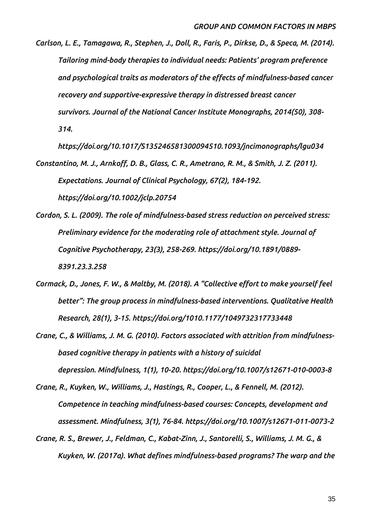*Carlson, L. E., Tamagawa, R., Stephen, J., Doll, R., Faris, P., Dirkse, D., & Speca, M. (2014). Tailoring mind-body therapies to individual needs: Patients' program preference and psychological traits as moderators of the effects of mindfulness-based cancer recovery and supportive-expressive therapy in distressed breast cancer survivors. Journal of the National Cancer Institute Monographs, 2014(50), 308- 314.* 

*https://doi.org/10.1017/S135246581300094510.1093/jncimonographs/lgu034*

*Constantino, M. J., Arnkoff, D. B., Glass, C. R., Ametrano, R. M., & Smith, J. Z. (2011). Expectations. Journal of Clinical Psychology, 67(2), 184-192. https://doi.org/10.1002/jclp.20754*

- *Cordon, S. L. (2009). The role of mindfulness-based stress reduction on perceived stress: Preliminary evidence for the moderating role of attachment style. Journal of Cognitive Psychotherapy, 23(3), 258-269. https://doi.org/10.1891/0889- 8391.23.3.258*
- *Cormack, D., Jones, F. W., & Maltby, M. (2018). A "Collective effort to make yourself feel better": The group process in mindfulness-based interventions. Qualitative Health Research, 28(1), 3-15. https://doi.org/1010.1177/1049732317733448*
- *Crane, C., & Williams, J. M. G. (2010). Factors associated with attrition from mindfulnessbased cognitive therapy in patients with a history of suicidal depression. Mindfulness, 1(1), 10-20. https://doi.org/10.1007/s12671-010-0003-8*
- *Crane, R., Kuyken, W., Williams, J., Hastings, R., Cooper, L., & Fennell, M. (2012). Competence in teaching mindfulness-based courses: Concepts, development and assessment. Mindfulness, 3(1), 76-84. https://doi.org/10.1007/s12671-011-0073-2*
- *Crane, R. S., Brewer, J., Feldman, C., Kabat-Zinn, J., Santorelli, S., Williams, J. M. G., & Kuyken, W. (2017a). What defines mindfulness-based programs? The warp and the*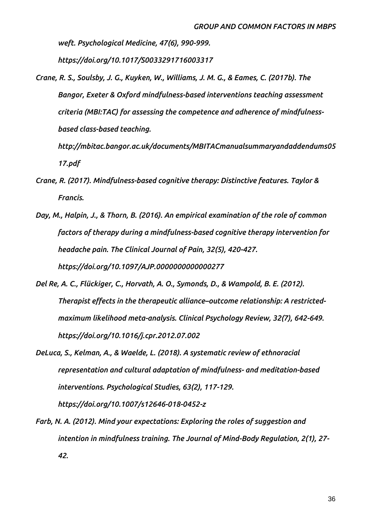*weft. Psychological Medicine, 47(6), 990-999.* 

*https://doi.org/10.1017/S0033291716003317*

*Crane, R. S., Soulsby, J. G., Kuyken, W., Williams, J. M. G., & Eames, C. (2017b). The Bangor, Exeter & Oxford mindfulness-based interventions teaching assessment criteria (MBI:TAC) for assessing the competence and adherence of mindfulnessbased class-based teaching.* 

*http://mbitac.bangor.ac.uk/documents/MBITACmanualsummaryandaddendums05 17.pdf*

- *Crane, R. (2017). Mindfulness-based cognitive therapy: Distinctive features. Taylor & Francis.*
- *Day, M., Halpin, J., & Thorn, B. (2016). An empirical examination of the role of common factors of therapy during a mindfulness-based cognitive therapy intervention for headache pain. The Clinical Journal of Pain, 32(5), 420-427. https://doi.org/10.1097/AJP.0000000000000277*
- *Del Re, A. C., Flückiger, C., Horvath, A. O., Symonds, D., & Wampold, B. E. (2012). Therapist effects in the therapeutic alliance–outcome relationship: A restrictedmaximum likelihood meta-analysis. Clinical Psychology Review, 32(7), 642-649. https://doi.org/10.1016/j.cpr.2012.07.002*
- *DeLuca, S., Kelman, A., & Waelde, L. (2018). A systematic review of ethnoracial representation and cultural adaptation of mindfulness- and meditation-based interventions. Psychological Studies, 63(2), 117-129. https://doi.org/10.1007/s12646-018-0452-z*

*Farb, N. A. (2012). Mind your expectations: Exploring the roles of suggestion and intention in mindfulness training. The Journal of Mind-Body Regulation, 2(1), 27- 42.*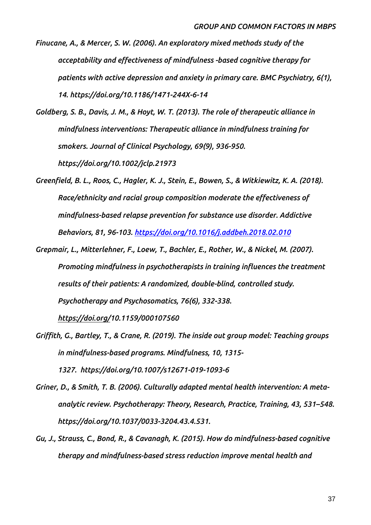- *Finucane, A., & Mercer, S. W. (2006). An exploratory mixed methods study of the acceptability and effectiveness of mindfulness -based cognitive therapy for patients with active depression and anxiety in primary care. BMC Psychiatry, 6(1), 14. https://doi.org/10.1186/1471-244X-6-14*
- *Goldberg, S. B., Davis, J. M., & Hoyt, W. T. (2013). The role of therapeutic alliance in mindfulness interventions: Therapeutic alliance in mindfulness training for smokers. Journal of Clinical Psychology, 69(9), 936-950. https://doi.org/10.1002/jclp.21973*
- *Greenfield, B. L., Roos, C., Hagler, K. J., Stein, E., Bowen, S., & Witkiewitz, K. A. (2018). Race/ethnicity and racial group composition moderate the effectiveness of mindfulness-based relapse prevention for substance use disorder. Addictive Behaviors, 81, 96-103. <https://doi.org/10.1016/j.addbeh.2018.02.010>*
- *Grepmair, L., Mitterlehner, F., Loew, T., Bachler, E., Rother, W., & Nickel, M. (2007). Promoting mindfulness in psychotherapists in training influences the treatment results of their patients: A randomized, double-blind, controlled study. Psychotherapy and Psychosomatics, 76(6), 332-338. https://doi.org/10.1159/000107560*
- *Griffith, G., Bartley, T., & Crane, R. (2019). The inside out group model: Teaching groups in mindfulness-based programs. Mindfulness, 10, 1315- 1327. https://doi.org[/10.1007/s12671-019-1093-6](https://doi.org/10.1007/s12671-019-1093-6)*
- *Griner, D., & Smith, T. B. (2006). Culturally adapted mental health intervention: A metaanalytic review. Psychotherapy: Theory, Research, Practice, Training, 43, 531–548. [https://doi.org/10.1037/0033-3204.43.4.531.](https://doi.org/10.1037/0033-3204.43.4.531)*
- *Gu, J., Strauss, C., Bond, R., & Cavanagh, K. (2015). How do mindfulness-based cognitive therapy and mindfulness-based stress reduction improve mental health and*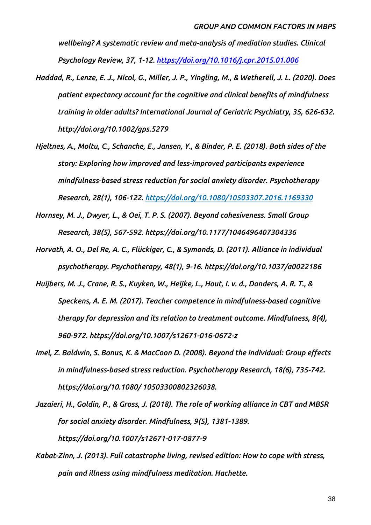*wellbeing? A systematic review and meta-analysis of mediation studies. Clinical Psychology Review, 37, 1-12.<https://doi.org/10.1016/j.cpr.2015.01.006>*

- *Haddad, R., Lenze, E. J., Nicol, G., Miller, J. P., Yingling, M., & Wetherell, J. L. (2020). Does patient expectancy account for the cognitive and clinical benefits of mindfulness training in older adults? International Journal of Geriatric Psychiatry, 35, 626-632. http://doi.org/10.1002/gps.5279*
- *Hjeltnes, A., Moltu, C., Schanche, E., Jansen, Y., & Binder, P. E. (2018). Both sides of the story: Exploring how improved and less-improved participants experience mindfulness-based stress reduction for social anxiety disorder. Psychotherapy Research, 28(1), 106-122. <https://doi.org/10.1080/10503307.2016.1169330>*
- *Hornsey, M. J., Dwyer, L., & Oei, T. P. S. (2007). Beyond cohesiveness. Small Group Research, 38(5), 567-592. https://doi.org/10.1177/1046496407304336*
- *Horvath, A. O., Del Re, A. C., Flückiger, C., & Symonds, D. (2011). Alliance in individual psychotherapy. Psychotherapy, 48(1), 9-16. https://doi.org/10.1037/a0022186*
- *Huijbers, M. J., Crane, R. S., Kuyken, W., Heijke, L., Hout, I. v. d., Donders, A. R. T., & Speckens, A. E. M. (2017). Teacher competence in mindfulness-based cognitive therapy for depression and its relation to treatment outcome. Mindfulness, 8(4), 960-972. https://doi.org/10.1007/s12671-016-0672-z*
- *Imel, Z. Baldwin, S. Bonus, K. & MacCoon D. (2008). Beyond the individual: Group effects in mindfulness-based stress reduction. Psychotherapy Research, 18(6), 735-742. https://doi.org/10.1080/ 10503300802326038.*
- *Jazaieri, H., Goldin, P., & Gross, J. (2018). The role of working alliance in CBT and MBSR for social anxiety disorder. Mindfulness, 9(5), 1381-1389. https://doi.org/10.1007/s12671-017-0877-9*
- *Kabat-Zinn, J. (2013). Full catastrophe living, revised edition: How to cope with stress, pain and illness using mindfulness meditation. Hachette.*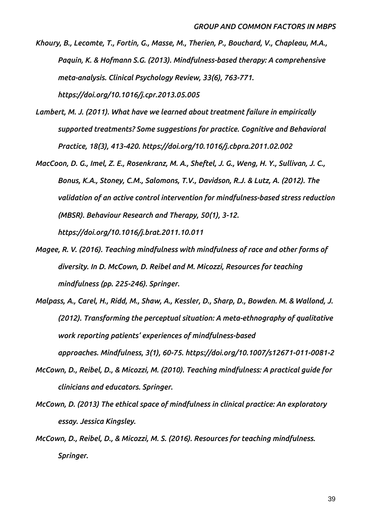*Khoury, B., Lecomte, T., Fortin, G., Masse, M., Therien, P., Bouchard, V., Chapleau, M.A., Paquin, K. & Hofmann S.G. (2013). Mindfulness-based therapy: A comprehensive meta-analysis. Clinical Psychology Review, 33(6), 763-771. https://doi.org/10.1016/j.cpr.2013.05.005*

- *Lambert, M. J. (2011). What have we learned about treatment failure in empirically supported treatments? Some suggestions for practice. Cognitive and Behavioral Practice, 18(3), 413-420. https://doi.org/10.1016/j.cbpra.2011.02.002*
- *MacCoon, D. G., Imel, Z. E., Rosenkranz, M. A., Sheftel, J. G., Weng, H. Y., Sullivan, J. C., Bonus, K.A., Stoney, C.M., Salomons, T.V., Davidson, R.J. & Lutz, A. (2012). The validation of an active control intervention for mindfulness-based stress reduction (MBSR). Behaviour Research and Therapy, 50(1), 3-12. https://doi.org/10.1016/j.brat.2011.10.011*
- *Magee, R. V. (2016). Teaching mindfulness with mindfulness of race and other forms of diversity. In D. McCown, D. Reibel and M. Micozzi, Resources for teaching mindfulness (pp. 225-246). Springer.*
- *Malpass, A., Carel, H., Ridd, M., Shaw, A., Kessler, D., Sharp, D., Bowden. M. & Wallond, J. (2012). Transforming the perceptual situation: A meta-ethnography of qualitative work reporting patients' experiences of mindfulness-based approaches. Mindfulness, 3(1), 60-75. https://doi.org/10.1007/s12671-011-0081-2*
- *McCown, D., Reibel, D., & Micozzi, M. (2010). Teaching mindfulness: A practical guide for clinicians and educators. Springer.*
- *McCown, D. (2013) The ethical space of mindfulness in clinical practice: An exploratory essay. Jessica Kingsley.*
- *McCown, D., Reibel, D., & Micozzi, M. S. (2016). Resources for teaching mindfulness. Springer.*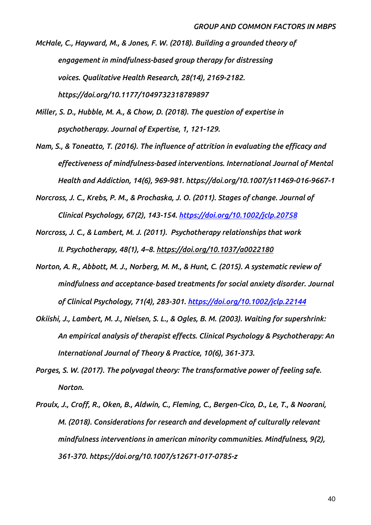*McHale, C., Hayward, M., & Jones, F. W. (2018). Building a grounded theory of engagement in mindfulness-based group therapy for distressing voices. Qualitative Health Research, 28(14), 2169-2182. https://doi.org/10.1177/1049732318789897*

*Miller, S. D., Hubble, M. A., & Chow, D. (2018). The question of expertise in psychotherapy. Journal of Expertise, 1, 121-129.*

*Nam, S., & Toneatto, T. (2016). The influence of attrition in evaluating the efficacy and effectiveness of mindfulness-based interventions. International Journal of Mental Health and Addiction, 14(6), 969-981. https://doi.org/10.1007/s11469-016-9667-1*

*Norcross, J. C., Krebs, P. M., & Prochaska, J. O. (2011). Stages of change. Journal of Clinical Psychology, 67(2), 143-154.<https://doi.org/10.1002/jclp.20758>*

*Norcross, J. C., & Lambert, M. J. (2011). Psychotherapy relationships that work II. Psychotherapy, 48(1), 4–8. [https://doi.org/10.1037/a0022180](https://psycnet.apa.org/doi/10.1037/a0022180)*

- *Norton, A. R., Abbott, M. J., Norberg, M. M., & Hunt, C. (2015). A systematic review of mindfulness and acceptance*‐*based treatments for social anxiety disorder. Journal of Clinical Psychology, 71(4), 283-301.<https://doi.org/10.1002/jclp.22144>*
- *Okiishi, J., Lambert, M. J., Nielsen, S. L., & Ogles, B. M. (2003). Waiting for supershrink: An empirical analysis of therapist effects. Clinical Psychology & Psychotherapy: An International Journal of Theory & Practice, 10(6), 361-373.*
- *Porges, S. W. (2017). The polyvagal theory: The transformative power of feeling safe. Norton.*
- *Proulx, J., Croff, R., Oken, B., Aldwin, C., Fleming, C., Bergen-Cico, D., Le, T., & Noorani, M. (2018). Considerations for research and development of culturally relevant mindfulness interventions in american minority communities. Mindfulness, 9(2), 361-370. https://doi.org/10.1007/s12671-017-0785-z*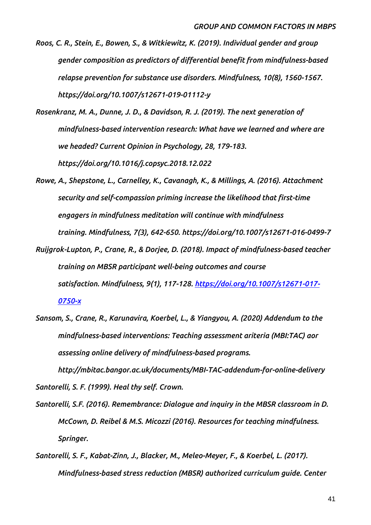- *Roos, C. R., Stein, E., Bowen, S., & Witkiewitz, K. (2019). Individual gender and group gender composition as predictors of differential benefit from mindfulness-based relapse prevention for substance use disorders. Mindfulness, 10(8), 1560-1567. https://doi.org/10.1007/s12671-019-01112-y*
- *Rosenkranz, M. A., Dunne, J. D., & Davidson, R. J. (2019). The next generation of mindfulness-based intervention research: What have we learned and where are we headed? Current Opinion in Psychology, 28, 179-183. https://doi.org/10.1016/j.copsyc.2018.12.022*
- *Rowe, A., Shepstone, L., Carnelley, K., Cavanagh, K., & Millings, A. (2016). Attachment security and self-compassion priming increase the likelihood that first-time engagers in mindfulness meditation will continue with mindfulness training. Mindfulness, 7(3), 642-650. https://doi.org/10.1007/s12671-016-0499-7*
- *Ruijgrok-Lupton, P., Crane, R., & Dorjee, D. (2018). Impact of mindfulness-based teacher training on MBSR participant well-being outcomes and course satisfaction. Mindfulness, 9(1), 117-128. [https://doi.org/10.1007/s12671-017-](https://doi.org/10.1007/s12671-017-0750-x) [0750-x](https://doi.org/10.1007/s12671-017-0750-x)*
- *Sansom, S., Crane, R., Karunavira, Koerbel, L., & Yiangyou, A. (2020) Addendum to the mindfulness-based interventions: Teaching assessment ariteria (MBI:TAC) aor assessing online delivery of mindfulness-based programs.*

*http://mbitac.bangor.ac.uk/documents/MBI-TAC-addendum-for-online-delivery Santorelli, S. F. (1999). Heal thy self. Crown.*

- *Santorelli, S.F. (2016). Remembrance: Dialogue and inquiry in the MBSR classroom in D. McCown, D. Reibel & M.S. Micozzi (2016). Resources for teaching mindfulness. Springer.*
- *Santorelli, S. F., Kabat-Zinn, J., Blacker, M., Meleo-Meyer, F., & Koerbel, L. (2017). Mindfulness-based stress reduction (MBSR) authorized curriculum guide. Center*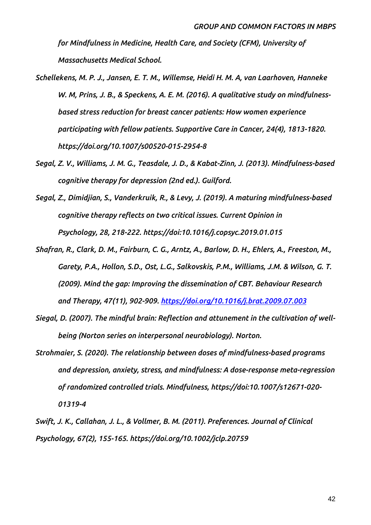*for Mindfulness in Medicine, Health Care, and Society (CFM), University of Massachusetts Medical School.*

- *Schellekens, M. P. J., Jansen, E. T. M., Willemse, Heidi H. M. A, van Laarhoven, Hanneke W. M, Prins, J. B., & Speckens, A. E. M. (2016). A qualitative study on mindfulnessbased stress reduction for breast cancer patients: How women experience participating with fellow patients. Supportive Care in Cancer, 24(4), 1813-1820. https://doi.org/10.1007/s00520-015-2954-8*
- *Segal, Z. V., Williams, J. M. G., Teasdale, J. D., & Kabat-Zinn, J. (2013). Mindfulness-based cognitive therapy for depression (2nd ed.). Guilford.*
- *Segal, Z., Dimidjian, S., Vanderkruik, R., & Levy, J. (2019). A maturing mindfulness-based cognitive therapy reflects on two critical issues. Current Opinion in Psychology, 28, 218-222. https://doi:10.1016/j.copsyc.2019.01.015*
- *Shafran, R., Clark, D. M., Fairburn, C. G., Arntz, A., Barlow, D. H., Ehlers, A., Freeston, M., Garety, P.A., Hollon, S.D., Ost, L.G., Salkovskis, P.M., Williams, J.M. & Wilson, G. T. (2009). Mind the gap: Improving the dissemination of CBT. Behaviour Research and Therapy, 47(11), 902-909.<https://doi.org/10.1016/j.brat.2009.07.003>*
- *Siegal, D. (2007). The mindful brain: Reflection and attunement in the cultivation of wellbeing (Norton series on interpersonal neurobiology). Norton.*
- *Strohmaier, S. (2020). The relationship between doses of mindfulness-based programs and depression, anxiety, stress, and mindfulness: A dose-response meta-regression of randomized controlled trials. Mindfulness, https://doi:10.1007/s12671-020- 01319-4*
- *Swift, J. K., Callahan, J. L., & Vollmer, B. M. (2011). Preferences. Journal of Clinical Psychology, 67(2), 155-165. https://doi.org/10.1002/jclp.20759*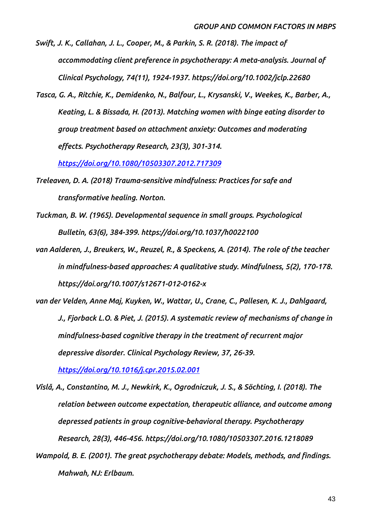*Swift, J. K., Callahan, J. L., Cooper, M., & Parkin, S. R. (2018). The impact of accommodating client preference in psychotherapy: A meta-analysis. Journal of Clinical Psychology, 74(11), 1924-1937. https://doi.org/10.1002/jclp.22680*

*Tasca, G. A., Ritchie, K., Demidenko, N., Balfour, L., Krysanski, V., Weekes, K., Barber, A., Keating, L. & Bissada, H. (2013). Matching women with binge eating disorder to group treatment based on attachment anxiety: Outcomes and moderating effects. Psychotherapy Research, 23(3), 301-314.* 

*<https://doi.org/10.1080/10503307.2012.717309>*

- *Treleaven, D. A. (2018) Trauma-sensitive mindfulness: Practices for safe and transformative healing. Norton.*
- *Tuckman, B. W. (1965). Developmental sequence in small groups. Psychological Bulletin, 63(6), 384-399. https://doi.org/10.1037/h0022100*
- *van Aalderen, J., Breukers, W., Reuzel, R., & Speckens, A. (2014). The role of the teacher in mindfulness-based approaches: A qualitative study. Mindfulness, 5(2), 170-178. https://doi.org/10.1007/s12671-012-0162-x*
- *van der Velden, Anne Maj, Kuyken, W., Wattar, U., Crane, C., Pallesen, K. J., Dahlgaard, J., Fjorback L.O. & Piet, J. (2015). A systematic review of mechanisms of change in mindfulness-based cognitive therapy in the treatment of recurrent major depressive disorder. Clinical Psychology Review, 37, 26-39.*

*<https://doi.org/10.1016/j.cpr.2015.02.001>*

- *Vîslă, A., Constantino, M. J., Newkirk, K., Ogrodniczuk, J. S., & Söchting, I. (2018). The relation between outcome expectation, therapeutic alliance, and outcome among depressed patients in group cognitive-behavioral therapy. Psychotherapy Research, 28(3), 446-456. https://doi.org/10.1080/10503307.2016.1218089*
- *Wampold, B. E. (2001). The great psychotherapy debate: Models, methods, and findings. Mahwah, NJ: Erlbaum.*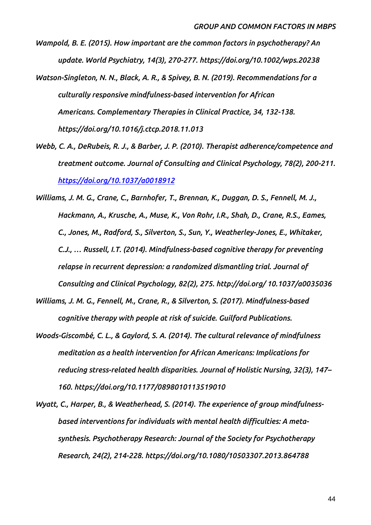*Wampold, B. E. (2015). How important are the common factors in psychotherapy? An update. World Psychiatry, 14(3), 270-277. https://doi.org/10.1002/wps.20238*

- *Watson-Singleton, N. N., Black, A. R., & Spivey, B. N. (2019). Recommendations for a culturally responsive mindfulness-based intervention for African Americans. Complementary Therapies in Clinical Practice, 34, 132-138. https://doi.org/10.1016/j.ctcp.2018.11.013*
- *Webb, C. A., DeRubeis, R. J., & Barber, J. P. (2010). Therapist adherence/competence and treatment outcome. Journal of Consulting and Clinical Psychology, 78(2), 200-211. <https://doi.org/10.1037/a0018912>*
- *Williams, J. M. G., Crane, C., Barnhofer, T., Brennan, K., Duggan, D. S., Fennell, M. J., Hackmann, A., Krusche, A., Muse, K., Von Rohr, I.R., Shah, D., Crane, R.S., Eames, C., Jones, M., Radford, S., Silverton, S., Sun, Y., Weatherley-Jones, E., Whitaker, C.J., … Russell, I.T. (2014). Mindfulness-based cognitive therapy for preventing relapse in recurrent depression: a randomized dismantling trial. Journal of Consulting and Clinical Psychology, 82(2), 275. http://doi.org/ 10.1037/a0035036*
- *Williams, J. M. G., Fennell, M., Crane, R., & Silverton, S. (2017). Mindfulness-based cognitive therapy with people at risk of suicide. Guilford Publications.*
- *Woods-Giscombé, C. L., & Gaylord, S. A. (2014). The cultural relevance of mindfulness meditation as a health intervention for African Americans: Implications for reducing stress-related health disparities. Journal of Holistic Nursing, 32(3), 147– 160. https://doi.org/10.1177/0898010113519010*
- *Wyatt, C., Harper, B., & Weatherhead, S. (2014). The experience of group mindfulnessbased interventions for individuals with mental health difficulties: A metasynthesis. Psychotherapy Research: Journal of the Society for Psychotherapy Research, 24(2), 214-228. https://doi.org/10.1080/10503307.2013.864788*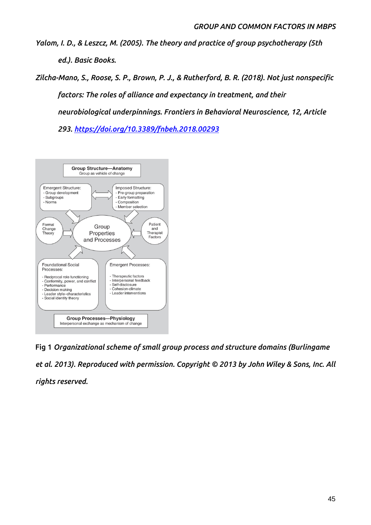*Yalom, I. D., & Leszcz, M. (2005). The theory and practice of group psychotherapy (5th ed.). Basic Books.*

*Zilcha-Mano, S., Roose, S. P., Brown, P. J., & Rutherford, B. R. (2018). Not just nonspecific factors: The roles of alliance and expectancy in treatment, and their neurobiological underpinnings. Frontiers in Behavioral Neuroscience, 12, Article* 

*293.<https://doi.org/10.3389/fnbeh.2018.00293>*



**Fig 1** *Organizational scheme of small group process and structure domains (Burlingame et al. 2013). Reproduced with permission. Copyright © 2013 by John Wiley & Sons, Inc. All rights reserved.*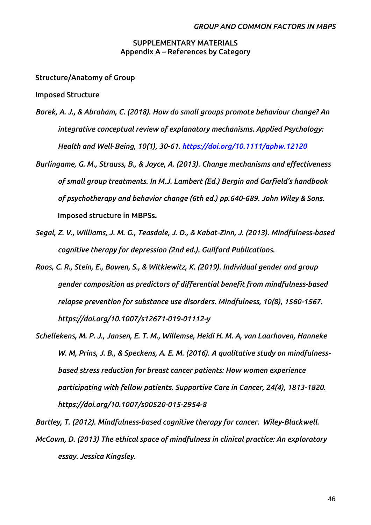## **SUPPLEMENTARY MATERIALS Appendix A – References by Category**

**Structure/Anatomy of Group**

**Imposed Structure** 

- *Borek, A. J., & Abraham, C. (2018). How do small groups promote behaviour change? An integrative conceptual review of explanatory mechanisms. Applied Psychology: Health and Well‐Being, 10(1), 30-61.<https://doi.org/10.1111/aphw.12120>*
- *Burlingame, G. M., Strauss, B., & Joyce, A. (2013). Change mechanisms and effectiveness of small group treatments. In M.J. Lambert (Ed.) Bergin and Garfield's handbook of psychotherapy and behavior change (6th ed.) pp.640-689. John Wiley & Sons.* **Imposed structure in MBPSs.**
- *Segal, Z. V., Williams, J. M. G., Teasdale, J. D., & Kabat-Zinn, J. (2013). Mindfulness-based cognitive therapy for depression (2nd ed.). Guilford Publications.*
- *Roos, C. R., Stein, E., Bowen, S., & Witkiewitz, K. (2019). Individual gender and group gender composition as predictors of differential benefit from mindfulness-based relapse prevention for substance use disorders. Mindfulness, 10(8), 1560-1567. https://doi.org/10.1007/s12671-019-01112-y*
- *Schellekens, M. P. J., Jansen, E. T. M., Willemse, Heidi H. M. A, van Laarhoven, Hanneke W. M, Prins, J. B., & Speckens, A. E. M. (2016). A qualitative study on mindfulnessbased stress reduction for breast cancer patients: How women experience participating with fellow patients. Supportive Care in Cancer, 24(4), 1813-1820. https://doi.org/10.1007/s00520-015-2954-8*

*Bartley, T. (2012). Mindfulness-based cognitive therapy for cancer. Wiley-Blackwell. McCown, D. (2013) The ethical space of mindfulness in clinical practice: An exploratory essay. Jessica Kingsley.*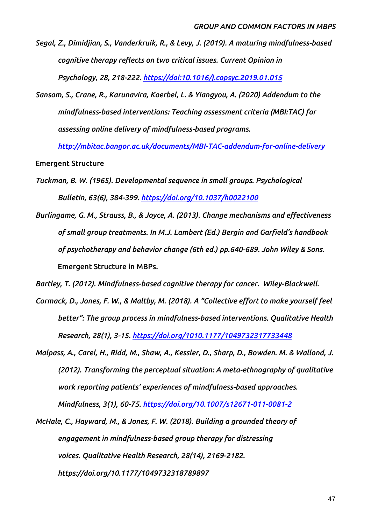*Segal, Z., Dimidjian, S., Vanderkruik, R., & Levy, J. (2019). A maturing mindfulness-based cognitive therapy reflects on two critical issues. Current Opinion in Psychology, 28, 218-222. <https://doi:10.1016/j.copsyc.2019.01.015>*

*Sansom, S., Crane, R., Karunavira, Koerbel, L. & Yiangyou, A. (2020) Addendum to the mindfulness-based interventions: Teaching assessment criteria (MBI:TAC) for assessing online delivery of mindfulness-based programs.* 

*<http://mbitac.bangor.ac.uk/documents/MBI-TAC-addendum-for-online-delivery>*

**Emergent Structure** 

- *Tuckman, B. W. (1965). Developmental sequence in small groups. Psychological Bulletin, 63(6), 384-399. <https://doi.org/10.1037/h0022100>*
- *Burlingame, G. M., Strauss, B., & Joyce, A. (2013). Change mechanisms and effectiveness of small group treatments. In M.J. Lambert (Ed.) Bergin and Garfield's handbook of psychotherapy and behavior change (6th ed.) pp.640-689. John Wiley & Sons.* **Emergent Structure in MBPs.**

*Bartley, T. (2012). Mindfulness-based cognitive therapy for cancer. Wiley-Blackwell.* 

- *Cormack, D., Jones, F. W., & Maltby, M. (2018). A "Collective effort to make yourself feel better": The group process in mindfulness-based interventions. Qualitative Health Research, 28(1), 3-15. <https://doi.org/1010.1177/1049732317733448>*
- *Malpass, A., Carel, H., Ridd, M., Shaw, A., Kessler, D., Sharp, D., Bowden. M. & Wallond, J. (2012). Transforming the perceptual situation: A meta-ethnography of qualitative work reporting patients' experiences of mindfulness-based approaches. Mindfulness, 3(1), 60-75.<https://doi.org/10.1007/s12671-011-0081-2>*

*McHale, C., Hayward, M., & Jones, F. W. (2018). Building a grounded theory of engagement in mindfulness-based group therapy for distressing voices. Qualitative Health Research, 28(14), 2169-2182. https://doi.org/10.1177/1049732318789897*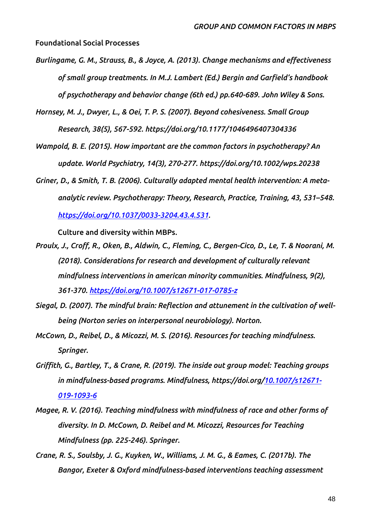**Foundational Social Processes**

*Burlingame, G. M., Strauss, B., & Joyce, A. (2013). Change mechanisms and effectiveness of small group treatments. In M.J. Lambert (Ed.) Bergin and Garfield's handbook of psychotherapy and behavior change (6th ed.) pp.640-689. John Wiley & Sons.*

*Hornsey, M. J., Dwyer, L., & Oei, T. P. S. (2007). Beyond cohesiveness. Small Group Research, 38(5), 567-592. https://doi.org/10.1177/1046496407304336*

*Wampold, B. E. (2015). How important are the common factors in psychotherapy? An update. World Psychiatry, 14(3), 270-277. https://doi.org/10.1002/wps.20238*

*Griner, D., & Smith, T. B. (2006). Culturally adapted mental health intervention: A metaanalytic review. Psychotherapy: Theory, Research, Practice, Training, 43, 531–548. [https://doi.org/10.1037/0033-3204.43.4.531.](https://doi.org/10.1037/0033-3204.43.4.531)*

**Culture and diversity within MBPs.**

- *Proulx, J., Croff, R., Oken, B., Aldwin, C., Fleming, C., Bergen-Cico, D., Le, T. & Noorani, M. (2018). Considerations for research and development of culturally relevant mindfulness interventions in american minority communities. Mindfulness, 9(2), 361-370.<https://doi.org/10.1007/s12671-017-0785-z>*
- *Siegal, D. (2007). The mindful brain: Reflection and attunement in the cultivation of wellbeing (Norton series on interpersonal neurobiology). Norton.*
- *McCown, D., Reibel, D., & Micozzi, M. S. (2016). Resources for teaching mindfulness. Springer.*
- *Griffith, G., Bartley, T., & Crane, R. (2019). The inside out group model: Teaching groups in mindfulness-based programs. Mindfulness, https://doi.org/[10.1007/s12671-](https://doi.org/10.1007/s12671-019-1093-6) [019-1093-6](https://doi.org/10.1007/s12671-019-1093-6)*
- *Magee, R. V. (2016). Teaching mindfulness with mindfulness of race and other forms of diversity. In D. McCown, D. Reibel and M. Micozzi, Resources for Teaching Mindfulness (pp. 225-246). Springer.*
- *Crane, R. S., Soulsby, J. G., Kuyken, W., Williams, J. M. G., & Eames, C. (2017b). The Bangor, Exeter & Oxford mindfulness-based interventions teaching assessment*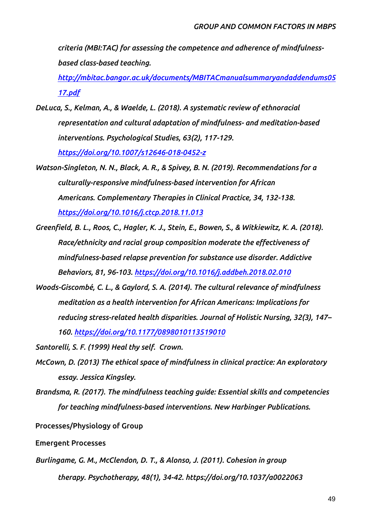*criteria (MBI:TAC) for assessing the competence and adherence of mindfulnessbased class-based teaching.* 

*[http://mbitac.bangor.ac.uk/documents/MBITACmanualsummaryandaddendums05](http://mbitac.bangor.ac.uk/documents/MBITACmanualsummaryandaddendums0517.pdf) [17.pdf](http://mbitac.bangor.ac.uk/documents/MBITACmanualsummaryandaddendums0517.pdf)*

*DeLuca, S., Kelman, A., & Waelde, L. (2018). A systematic review of ethnoracial representation and cultural adaptation of mindfulness- and meditation-based interventions. Psychological Studies, 63(2), 117-129.* 

*<https://doi.org/10.1007/s12646-018-0452-z>*

- *Watson-Singleton, N. N., Black, A. R., & Spivey, B. N. (2019). Recommendations for a culturally-responsive mindfulness-based intervention for African Americans. Complementary Therapies in Clinical Practice, 34, 132-138. <https://doi.org/10.1016/j.ctcp.2018.11.013>*
- *Greenfield, B. L., Roos, C., Hagler, K. J., Stein, E., Bowen, S., & Witkiewitz, K. A. (2018). Race/ethnicity and racial group composition moderate the effectiveness of mindfulness-based relapse prevention for substance use disorder. Addictive Behaviors, 81, 96-103. <https://doi.org/10.1016/j.addbeh.2018.02.010>*
- *Woods-Giscombé, C. L., & Gaylord, S. A. (2014). The cultural relevance of mindfulness meditation as a health intervention for African Americans: Implications for reducing stress-related health disparities. Journal of Holistic Nursing, 32(3), 147– 160.<https://doi.org/10.1177/0898010113519010>*

*Santorelli, S. F. (1999) Heal thy self. Crown.*

- *McCown, D. (2013) The ethical space of mindfulness in clinical practice: An exploratory essay. Jessica Kingsley.*
- *Brandsma, R. (2017). The mindfulness teaching guide: Essential skills and competencies for teaching mindfulness-based interventions. New Harbinger Publications.*

**Processes/Physiology of Group**

## **Emergent Processes**

*Burlingame, G. M., McClendon, D. T., & Alonso, J. (2011). Cohesion in group therapy. Psychotherapy, 48(1), 34-42. https://doi.org/10.1037/a0022063*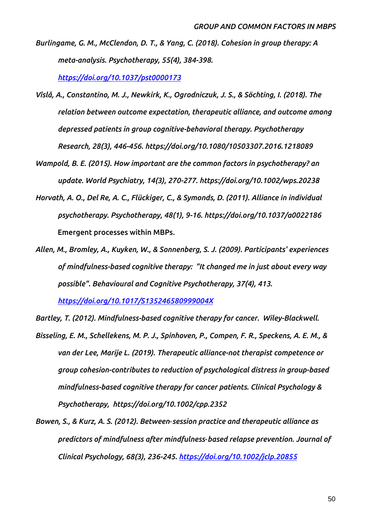*Burlingame, G. M., McClendon, D. T., & Yang, C. (2018). Cohesion in group therapy: A meta-analysis. Psychotherapy, 55(4), 384-398.* 

*<https://doi.org/10.1037/pst0000173>*

- *Vîslă, A., Constantino, M. J., Newkirk, K., Ogrodniczuk, J. S., & Söchting, I. (2018). The relation between outcome expectation, therapeutic alliance, and outcome among depressed patients in group cognitive-behavioral therapy. Psychotherapy Research, 28(3), 446-456. https://doi.org/10.1080/10503307.2016.1218089*
- *Wampold, B. E. (2015). How important are the common factors in psychotherapy? an update. World Psychiatry, 14(3), 270-277. https://doi.org/10.1002/wps.20238*
- *Horvath, A. O., Del Re, A. C., Flückiger, C., & Symonds, D. (2011). Alliance in individual psychotherapy. Psychotherapy, 48(1), 9-16. https://doi.org/10.1037/a0022186* **Emergent processes within MBPs.**
- *Allen, M., Bromley, A., Kuyken, W., & Sonnenberg, S. J. (2009). Participants' experiences of mindfulness-based cognitive therapy: "It changed me in just about every way possible". Behavioural and Cognitive Psychotherapy, 37(4), 413.*

*<https://doi.org/10.1017/S135246580999004X>*

*Bartley, T. (2012). Mindfulness-based cognitive therapy for cancer. Wiley-Blackwell.* 

- *Bisseling, E. M., Schellekens, M. P. J., Spinhoven, P., Compen, F. R., Speckens, A. E. M., & van der Lee, Marije L. (2019). Therapeutic alliance-not therapist competence or group cohesion-contributes to reduction of psychological distress in group-based mindfulness-based cognitive therapy for cancer patients. Clinical Psychology & Psychotherapy, https://doi.org/10.1002/cpp.2352*
- *Bowen, S., & Kurz, A. S. (2012). Between*‐*session practice and therapeutic alliance as predictors of mindfulness after mindfulness*‐*based relapse prevention. Journal of Clinical Psychology, 68(3), 236-245.<https://doi.org/10.1002/jclp.20855>*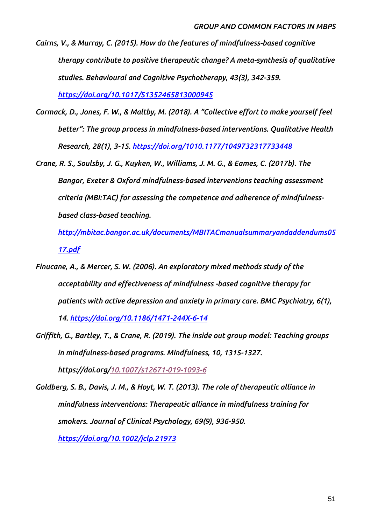- *Cairns, V., & Murray, C. (2015). How do the features of mindfulness-based cognitive therapy contribute to positive therapeutic change? A meta-synthesis of qualitative studies. Behavioural and Cognitive Psychotherapy, 43(3), 342-359. <https://doi.org/10.1017/S1352465813000945>*
- *Cormack, D., Jones, F. W., & Maltby, M. (2018). A "Collective effort to make yourself feel better": The group process in mindfulness-based interventions. Qualitative Health Research, 28(1), 3-15. <https://doi.org/1010.1177/1049732317733448>*

*Crane, R. S., Soulsby, J. G., Kuyken, W., Williams, J. M. G., & Eames, C. (2017b). The Bangor, Exeter & Oxford mindfulness-based interventions teaching assessment criteria (MBI:TAC) for assessing the competence and adherence of mindfulnessbased class-based teaching.* 

*[http://mbitac.bangor.ac.uk/documents/MBITACmanualsummaryandaddendums05](http://mbitac.bangor.ac.uk/documents/MBITACmanualsummaryandaddendums0517.pdf) [17.pdf](http://mbitac.bangor.ac.uk/documents/MBITACmanualsummaryandaddendums0517.pdf)*

*Finucane, A., & Mercer, S. W. (2006). An exploratory mixed methods study of the acceptability and effectiveness of mindfulness -based cognitive therapy for patients with active depression and anxiety in primary care. BMC Psychiatry, 6(1), 14.<https://doi.org/10.1186/1471-244X-6-14>*

*Griffith, G., Bartley, T., & Crane, R. (2019). The inside out group model: Teaching groups in mindfulness-based programs. Mindfulness, 10, 1315-1327. https://doi.org/[10.1007/s12671-019-1093-6](https://doi.org/10.1007/s12671-019-1093-6)*

*Goldberg, S. B., Davis, J. M., & Hoyt, W. T. (2013). The role of therapeutic alliance in mindfulness interventions: Therapeutic alliance in mindfulness training for smokers. Journal of Clinical Psychology, 69(9), 936-950. <https://doi.org/10.1002/jclp.21973>*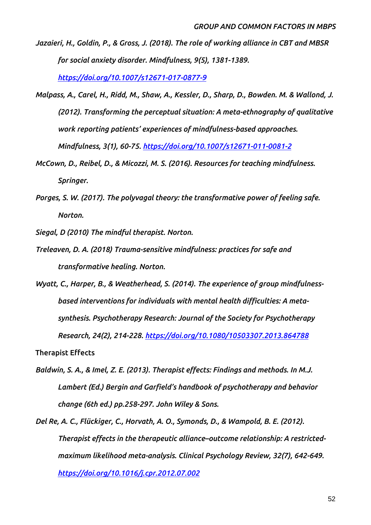*Jazaieri, H., Goldin, P., & Gross, J. (2018). The role of working alliance in CBT and MBSR for social anxiety disorder. Mindfulness, 9(5), 1381-1389.* 

*<https://doi.org/10.1007/s12671-017-0877-9>*

- *Malpass, A., Carel, H., Ridd, M., Shaw, A., Kessler, D., Sharp, D., Bowden. M. & Wallond, J. (2012). Transforming the perceptual situation: A meta-ethnography of qualitative work reporting patients' experiences of mindfulness-based approaches. Mindfulness, 3(1), 60-75.<https://doi.org/10.1007/s12671-011-0081-2>*
- *McCown, D., Reibel, D., & Micozzi, M. S. (2016). Resources for teaching mindfulness. Springer.*
- *Porges, S. W. (2017). The polyvagal theory: the transformative power of feeling safe. Norton.*

*Siegal, D (2010) The mindful therapist. Norton.*

- *Treleaven, D. A. (2018) Trauma-sensitive mindfulness: practices for safe and transformative healing. Norton.*
- *Wyatt, C., Harper, B., & Weatherhead, S. (2014). The experience of group mindfulnessbased interventions for individuals with mental health difficulties: A metasynthesis. Psychotherapy Research: Journal of the Society for Psychotherapy Research, 24(2), 214-228. <https://doi.org/10.1080/10503307.2013.864788>*

**Therapist Effects**

- *Baldwin, S. A., & Imel, Z. E. (2013). Therapist effects: Findings and methods. In M.J. Lambert (Ed.) Bergin and Garfield's handbook of psychotherapy and behavior change (6th ed.) pp.258-297. John Wiley & Sons.*
- *Del Re, A. C., Flückiger, C., Horvath, A. O., Symonds, D., & Wampold, B. E. (2012). Therapist effects in the therapeutic alliance–outcome relationship: A restrictedmaximum likelihood meta-analysis. Clinical Psychology Review, 32(7), 642-649. <https://doi.org/10.1016/j.cpr.2012.07.002>*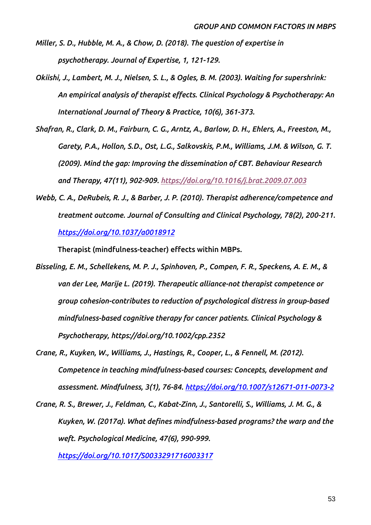- *Miller, S. D., Hubble, M. A., & Chow, D. (2018). The question of expertise in psychotherapy. Journal of Expertise, 1, 121-129.*
- *Okiishi, J., Lambert, M. J., Nielsen, S. L., & Ogles, B. M. (2003). Waiting for supershrink: An empirical analysis of therapist effects. Clinical Psychology & Psychotherapy: An International Journal of Theory & Practice, 10(6), 361-373.*
- *Shafran, R., Clark, D. M., Fairburn, C. G., Arntz, A., Barlow, D. H., Ehlers, A., Freeston, M., Garety, P.A., Hollon, S.D., Ost, L.G., Salkovskis, P.M., Williams, J.M. & Wilson, G. T. (2009). Mind the gap: Improving the dissemination of CBT. Behaviour Research and Therapy, 47(11), 902-909.<https://doi.org/10.1016/j.brat.2009.07.003>*
- *Webb, C. A., DeRubeis, R. J., & Barber, J. P. (2010). Therapist adherence/competence and treatment outcome. Journal of Consulting and Clinical Psychology, 78(2), 200-211. <https://doi.org/10.1037/a0018912>*

**Therapist (mindfulness-teacher) effects within MBPs.**

- *Bisseling, E. M., Schellekens, M. P. J., Spinhoven, P., Compen, F. R., Speckens, A. E. M., & van der Lee, Marije L. (2019). Therapeutic alliance-not therapist competence or group cohesion-contributes to reduction of psychological distress in group-based mindfulness-based cognitive therapy for cancer patients. Clinical Psychology & Psychotherapy, https://doi.org/10.1002/cpp.2352*
- *Crane, R., Kuyken, W., Williams, J., Hastings, R., Cooper, L., & Fennell, M. (2012). Competence in teaching mindfulness-based courses: Concepts, development and assessment. Mindfulness, 3(1), 76-84.<https://doi.org/10.1007/s12671-011-0073-2>*
- *Crane, R. S., Brewer, J., Feldman, C., Kabat-Zinn, J., Santorelli, S., Williams, J. M. G., & Kuyken, W. (2017a). What defines mindfulness-based programs? the warp and the weft. Psychological Medicine, 47(6), 990-999.*

*<https://doi.org/10.1017/S0033291716003317>*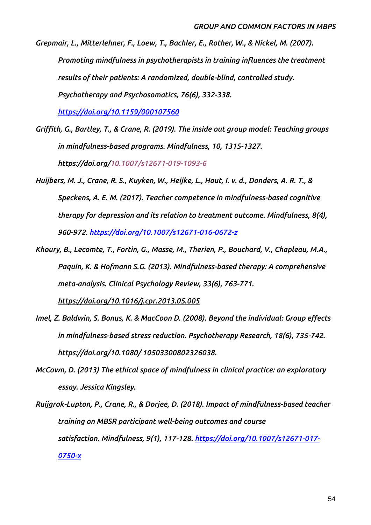*Grepmair, L., Mitterlehner, F., Loew, T., Bachler, E., Rother, W., & Nickel, M. (2007). Promoting mindfulness in psychotherapists in training influences the treatment results of their patients: A randomized, double-blind, controlled study. Psychotherapy and Psychosomatics, 76(6), 332-338.*

*<https://doi.org/10.1159/000107560>*

- *Griffith, G., Bartley, T., & Crane, R. (2019). The inside out group model: Teaching groups in mindfulness-based programs. Mindfulness, 10, 1315-1327. https://doi.org/[10.1007/s12671-019-1093-6](https://doi.org/10.1007/s12671-019-1093-6)*
- *Huijbers, M. J., Crane, R. S., Kuyken, W., Heijke, L., Hout, I. v. d., Donders, A. R. T., & Speckens, A. E. M. (2017). Teacher competence in mindfulness-based cognitive therapy for depression and its relation to treatment outcome. Mindfulness, 8(4), 960-972.<https://doi.org/10.1007/s12671-016-0672-z>*
- *Khoury, B., Lecomte, T., Fortin, G., Masse, M., Therien, P., Bouchard, V., Chapleau, M.A., Paquin, K. & Hofmann S.G. (2013). Mindfulness-based therapy: A comprehensive meta-analysis. Clinical Psychology Review, 33(6), 763-771.*

*<https://doi.org/10.1016/j.cpr.2013.05.005>*

- *Imel, Z. Baldwin, S. Bonus, K. & MacCoon D. (2008). Beyond the individual: Group effects in mindfulness-based stress reduction. Psychotherapy Research, 18(6), 735-742. https://doi.org/10.1080/ 10503300802326038.*
- *McCown, D. (2013) The ethical space of mindfulness in clinical practice: an exploratory essay. Jessica Kingsley.*
- *Ruijgrok-Lupton, P., Crane, R., & Dorjee, D. (2018). Impact of mindfulness-based teacher training on MBSR participant well-being outcomes and course satisfaction. Mindfulness, 9(1), 117-128. [https://doi.org/10.1007/s12671-017-](https://doi.org/10.1007/s12671-017-0750-x) [0750-x](https://doi.org/10.1007/s12671-017-0750-x)*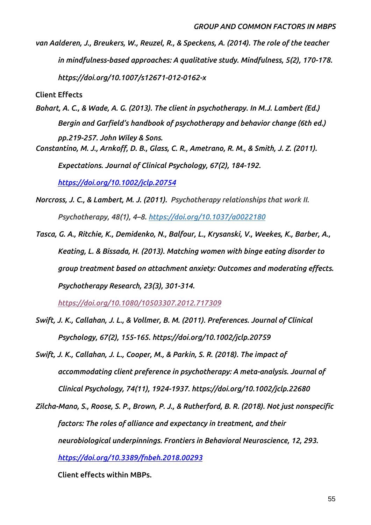*van Aalderen, J., Breukers, W., Reuzel, R., & Speckens, A. (2014). The role of the teacher in mindfulness-based approaches: A qualitative study. Mindfulness, 5(2), 170-178. https://doi.org/10.1007/s12671-012-0162-x*

**Client Effects**

*Bohart, A. C., & Wade, A. G. (2013). The client in psychotherapy. In M.J. Lambert (Ed.) Bergin and Garfield's handbook of psychotherapy and behavior change (6th ed.) pp.219-257. John Wiley & Sons. Constantino, M. J., Arnkoff, D. B., Glass, C. R., Ametrano, R. M., & Smith, J. Z. (2011).* 

*Expectations. Journal of Clinical Psychology, 67(2), 184-192.* 

*<https://doi.org/10.1002/jclp.20754>*

- *Norcross, J. C., & Lambert, M. J. (2011). Psychotherapy relationships that work II. Psychotherapy, 48(1), 4–8. [https://doi.org/10.1037/a0022180](https://psycnet.apa.org/doi/10.1037/a0022180)*
- *Tasca, G. A., Ritchie, K., Demidenko, N., Balfour, L., Krysanski, V., Weekes, K., Barber, A., Keating, L. & Bissada, H. (2013). Matching women with binge eating disorder to group treatment based on attachment anxiety: Outcomes and moderating effects. Psychotherapy Research, 23(3), 301-314.*

*<https://doi.org/10.1080/10503307.2012.717309>*

- *Swift, J. K., Callahan, J. L., & Vollmer, B. M. (2011). Preferences. Journal of Clinical Psychology, 67(2), 155-165. https://doi.org/10.1002/jclp.20759*
- *Swift, J. K., Callahan, J. L., Cooper, M., & Parkin, S. R. (2018). The impact of accommodating client preference in psychotherapy: A meta-analysis. Journal of Clinical Psychology, 74(11), 1924-1937. https://doi.org/10.1002/jclp.22680*
- *Zilcha-Mano, S., Roose, S. P., Brown, P. J., & Rutherford, B. R. (2018). Not just nonspecific factors: The roles of alliance and expectancy in treatment, and their neurobiological underpinnings. Frontiers in Behavioral Neuroscience, 12, 293. <https://doi.org/10.3389/fnbeh.2018.00293>*

**Client effects within MBPs.**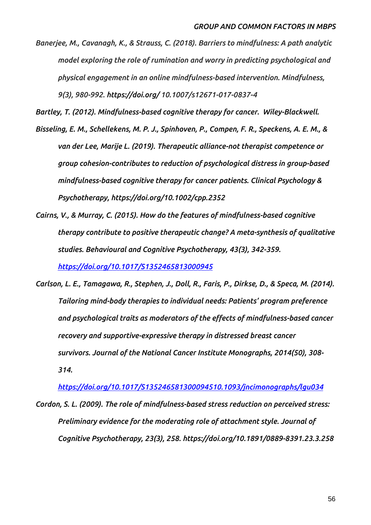*Banerjee, M., Cavanagh, K., & Strauss, C. (2018). Barriers to mindfulness: A path analytic model exploring the role of rumination and worry in predicting psychological and physical engagement in an online mindfulness-based intervention. Mindfulness, 9(3), 980-992. https://doi.org/ 10.1007/s12671-017-0837-4*

*Bartley, T. (2012). Mindfulness-based cognitive therapy for cancer. Wiley-Blackwell.* 

*Bisseling, E. M., Schellekens, M. P. J., Spinhoven, P., Compen, F. R., Speckens, A. E. M., & van der Lee, Marije L. (2019). Therapeutic alliance-not therapist competence or group cohesion-contributes to reduction of psychological distress in group-based mindfulness-based cognitive therapy for cancer patients. Clinical Psychology & Psychotherapy, https://doi.org/10.1002/cpp.2352*

- *Cairns, V., & Murray, C. (2015). How do the features of mindfulness-based cognitive therapy contribute to positive therapeutic change? A meta-synthesis of qualitative studies. Behavioural and Cognitive Psychotherapy, 43(3), 342-359. <https://doi.org/10.1017/S1352465813000945>*
- *Carlson, L. E., Tamagawa, R., Stephen, J., Doll, R., Faris, P., Dirkse, D., & Speca, M. (2014). Tailoring mind-body therapies to individual needs: Patients' program preference and psychological traits as moderators of the effects of mindfulness-based cancer recovery and supportive-expressive therapy in distressed breast cancer survivors. Journal of the National Cancer Institute Monographs, 2014(50), 308- 314.*

*<https://doi.org/10.1017/S135246581300094510.1093/jncimonographs/lgu034>*

*Cordon, S. L. (2009). The role of mindfulness-based stress reduction on perceived stress: Preliminary evidence for the moderating role of attachment style. Journal of Cognitive Psychotherapy, 23(3), 258. https://doi.org/10.1891/0889-8391.23.3.258*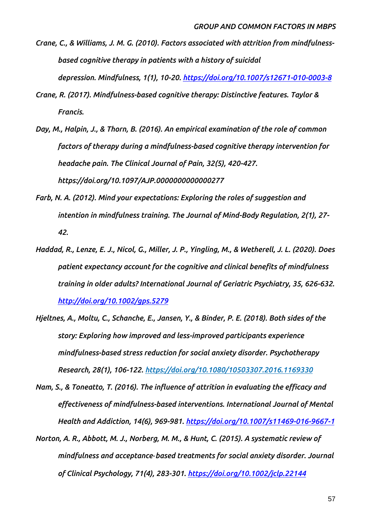- *Crane, C., & Williams, J. M. G. (2010). Factors associated with attrition from mindfulnessbased cognitive therapy in patients with a history of suicidal depression. Mindfulness, 1(1), 10-20. <https://doi.org/10.1007/s12671-010-0003-8>*
- *Crane, R. (2017). Mindfulness-based cognitive therapy: Distinctive features. Taylor & Francis.*
- *Day, M., Halpin, J., & Thorn, B. (2016). An empirical examination of the role of common factors of therapy during a mindfulness-based cognitive therapy intervention for headache pain. The Clinical Journal of Pain, 32(5), 420-427. https://doi.org/10.1097/AJP.0000000000000277*
- *Farb, N. A. (2012). Mind your expectations: Exploring the roles of suggestion and intention in mindfulness training. The Journal of Mind-Body Regulation, 2(1), 27- 42.*
- *Haddad, R., Lenze, E. J., Nicol, G., Miller, J. P., Yingling, M., & Wetherell, J. L. (2020). Does patient expectancy account for the cognitive and clinical benefits of mindfulness training in older adults? International Journal of Geriatric Psychiatry, 35, 626-632. <http://doi.org/10.1002/gps.5279>*
- *Hjeltnes, A., Moltu, C., Schanche, E., Jansen, Y., & Binder, P. E. (2018). Both sides of the story: Exploring how improved and less-improved participants experience mindfulness-based stress reduction for social anxiety disorder. Psychotherapy Research, 28(1), 106-122. <https://doi.org/10.1080/10503307.2016.1169330>*
- *Nam, S., & Toneatto, T. (2016). The influence of attrition in evaluating the efficacy and effectiveness of mindfulness-based interventions. International Journal of Mental Health and Addiction, 14(6), 969-981.<https://doi.org/10.1007/s11469-016-9667-1>*
- *Norton, A. R., Abbott, M. J., Norberg, M. M., & Hunt, C. (2015). A systematic review of mindfulness and acceptance*‐*based treatments for social anxiety disorder. Journal of Clinical Psychology, 71(4), 283-301.<https://doi.org/10.1002/jclp.22144>*